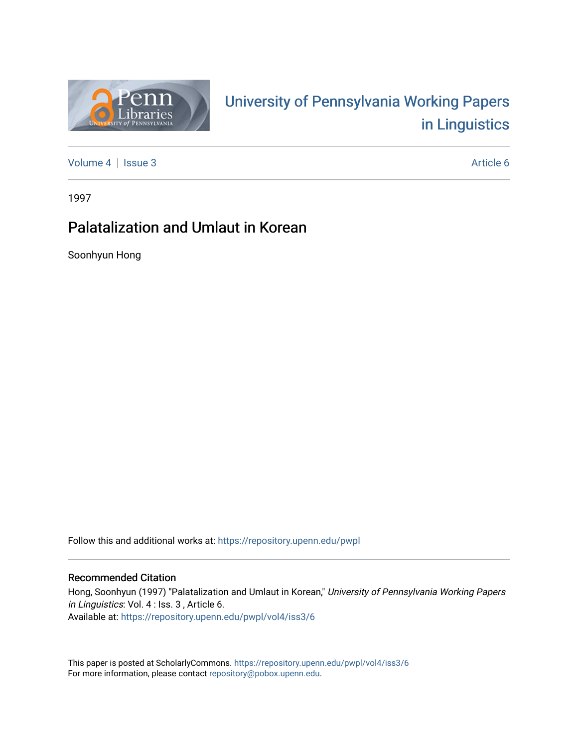

# University of P[ennsylvania Working P](https://repository.upenn.edu/pwpl)apers [in Linguistics](https://repository.upenn.edu/pwpl)

[Volume 4](https://repository.upenn.edu/pwpl/vol4) | [Issue 3](https://repository.upenn.edu/pwpl/vol4/iss3) Article 6

1997

## Palatalization and Umlaut in Korean

Soonhyun Hong

Follow this and additional works at: [https://repository.upenn.edu/pwpl](https://repository.upenn.edu/pwpl?utm_source=repository.upenn.edu%2Fpwpl%2Fvol4%2Fiss3%2F6&utm_medium=PDF&utm_campaign=PDFCoverPages) 

#### Recommended Citation

Hong, Soonhyun (1997) "Palatalization and Umlaut in Korean," University of Pennsylvania Working Papers in Linguistics: Vol. 4 : Iss. 3 , Article 6. Available at: [https://repository.upenn.edu/pwpl/vol4/iss3/6](https://repository.upenn.edu/pwpl/vol4/iss3/6?utm_source=repository.upenn.edu%2Fpwpl%2Fvol4%2Fiss3%2F6&utm_medium=PDF&utm_campaign=PDFCoverPages) 

This paper is posted at ScholarlyCommons.<https://repository.upenn.edu/pwpl/vol4/iss3/6> For more information, please contact [repository@pobox.upenn.edu.](mailto:repository@pobox.upenn.edu)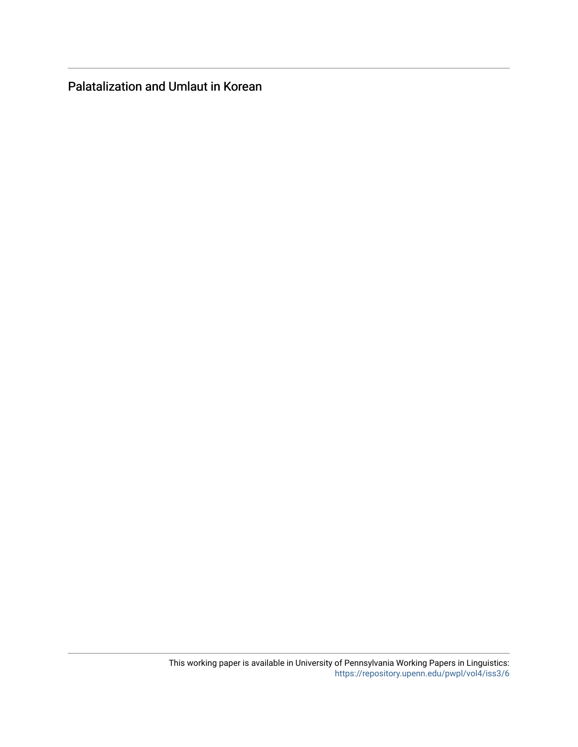Palatalization and Umlaut in Korean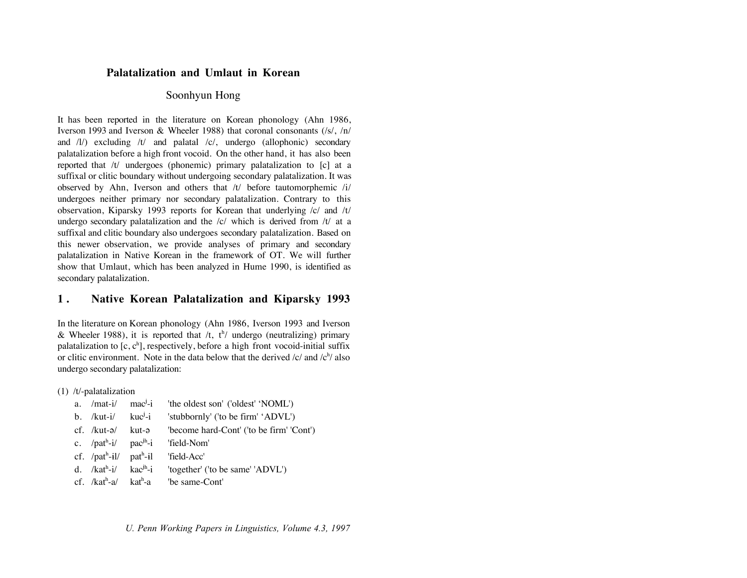#### **Palatalization and Umlaut in Korean**

## Soonhyun Hong

It has been reported in the literature on Korean phonology (Ahn 1986, Iverson 1993 and Iverson & Wheeler 1988) that coronal consonants (/s/, /n/ and  $\langle 1 \rangle$  excluding  $\langle t \rangle$  and palatal  $\langle c \rangle$ , undergo (allophonic) secondary palatalization before a high front vocoid. On the other hand, it has also been reported that /t/ undergoes (phonemic) primary palatalization to [c] at a suffixal or clitic boundary without undergoing secondary palatalization. It was observed by Ahn, Iverson and others that /t/ before tautomorphemic /i/ undergoes neither primary nor secondary palatalization. Contrary to this observation, Kiparsky 1993 reports for Korean that underlying /c/ and /t/ undergo secondary palatalization and the  $/c/$  which is derived from  $/t/$  at a suffixal and clitic boundary also undergoes secondary palatalization. Based on this newer observation, we provide analyses of primary and secondary palatalization in Native Korean in the framework of OT. We will further show that Umlaut, which has been analyzed in Hume 1990, is identified as secondary palatalization.

## **1 . Native Korean Palatalization and Kiparsky 1993**

In the literature on Korean phonology (Ahn 1986, Iverson 1993 and Iverson & Wheeler 1988), it is reported that  $/t$ ,  $t^{h}$  undergo (neutralizing) primary palatalization to  $[c, c^h]$ , respectively, before a high front vocoid-initial suffix or clitic environment. Note in the data below that the derived  $\frac{1}{c}$  and  $\frac{1}{c^h}$  also undergo secondary palatalization:

(1) /t/-palatalization

|  | a. /mat-i/ mac <sup>j</sup> -i 'the oldest son' ('oldest' 'NOML') |
|--|-------------------------------------------------------------------|
|  | b. /kut-i/ kuc <sup>j</sup> -i 'stubbornly' ('to be firm' 'ADVL') |
|  |                                                                   |
|  | c. $/pat^h-i/$ pac <sup>jh-</sup> i 'field-Nom'                   |
|  | cf. $\pi$ <sup>h</sup> -il/ pat <sup>h</sup> -il 'field-Acc'      |
|  | d. / $kat^h-i/$ $kac^{ih}-i$ 'together' ('to be same' 'ADVL')     |
|  | cf. $/kat^h-a/kat^h-a$ be same-Cont'                              |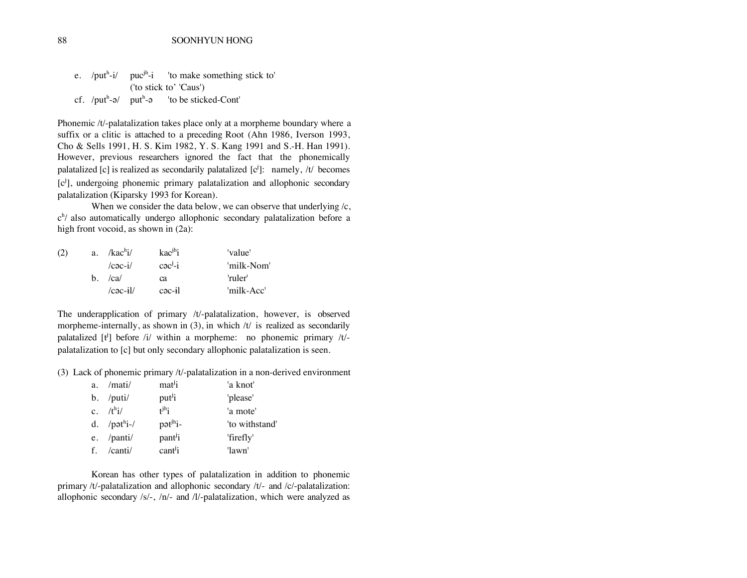|  | e. /put <sup>h-i/</sup> puc <sup>jh-i</sup> 'to make something stick to' |
|--|--------------------------------------------------------------------------|
|  | ('to stick to' 'Caus')                                                   |
|  | cf. $\pi$ -a/ put <sup>h-</sup> a 'to be sticked-Cont'                   |

Phonemic /t/-palatalization takes place only at a morpheme boundary where a suffix or a clitic is attached to a preceding Root (Ahn 1986, Iverson 1993, Cho & Sells 1991, H. S. Kim 1982, Y. S. Kang 1991 and S.-H. Han 1991). However, previous researchers ignored the fact that the phonemically palatalized [c] is realized as secondarily palatalized  $[c^j]$ : namely, /t/ becomes [c<sup>j</sup>], undergoing phonemic primary palatalization and allophonic secondary palatalization (Kiparsky 1993 for Korean).

When we consider the data below, we can observe that underlying  $/c$ , c<sup>h</sup>/ also automatically undergo allophonic secondary palatalization before a high front vocoid, as shown in (2a):

| (2) | a. $/$ kac <sup>h</sup> i $/$ | $kac^{jh}i$            | 'value'    |
|-----|-------------------------------|------------------------|------------|
|     | $/$ cac-i $/$                 | $c \partial c^{j} - i$ | 'milk-Nom' |
|     | $h$ . $ ca $                  | ca                     | 'ruler'    |
|     | $ c \cdot a - i $             | $\alpha$               | 'milk-Acc' |

The underapplication of primary /t/-palatalization, however, is observed morpheme-internally, as shown in  $(3)$ , in which /t/ is realized as secondarily palatalized  $[t^j]$  before /i/ within a morpheme: no phonemic primary /t/palatalization to [c] but only secondary allophonic palatalization is seen.

(3) Lack of phonemic primary /t/-palatalization in a non-derived environment

| a. | /mati/               | mat <sup>j</sup> i             | 'a knot'       |
|----|----------------------|--------------------------------|----------------|
|    | $b.$ /puti/          | put <sup>j</sup> i             | 'please'       |
|    | c. $/t^{\text{h}}i/$ | $t^{jh}$                       | 'a mote'       |
|    | d. $/pot^i$ i-/      | $p$ $\vartheta$ $t^{jh}$ $i$ - | 'to withstand' |
|    | e. /panti/           | pant <sup>j</sup> i            | 'firefly'      |
|    | f. /canti/           | $\text{cant}^{j}$              | 'lawn'         |

Korean has other types of palatalization in addition to phonemic primary /t/-palatalization and allophonic secondary /t/- and /c/-palatalization: allophonic secondary /s/-, /n/- and /l/-palatalization, which were analyzed as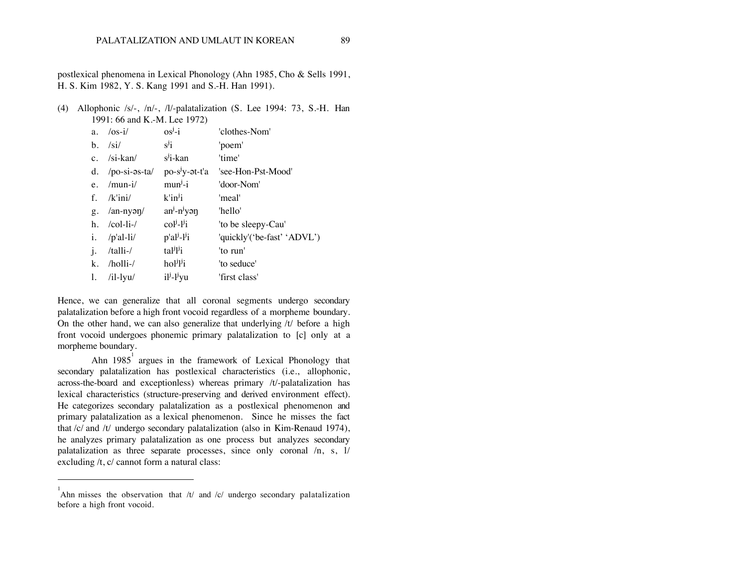postlexical phenomena in Lexical Phonology (Ahn 1985, Cho & Sells 1991, H. S. Kim 1982, Y. S. Kang 1991 and S.-H. Han 1991).

(4) Allophonic /s/-, /n/-, /l/-palatalization (S. Lee 1994: 73, S.-H. Han 1991: 66 and K.-M. Lee 1972)

| a.          | $\sqrt{cos-i/}$           | $os^j - i$                                                                             | 'clothes-Nom'               |
|-------------|---------------------------|----------------------------------------------------------------------------------------|-----------------------------|
| b.          | /si/                      | $s^j i$                                                                                | 'poem'                      |
|             | c. $/si$ -kan/            | $s^j$ i-kan                                                                            | 'time'                      |
|             | d. $/po-si-3s-ta/$        | po-s <sup>j</sup> y-ət-t'a                                                             | 'see-Hon-Pst-Mood'          |
|             | e. $/$ mun-i $/$          | $m$ un <sup><math>j</math></sup> -i                                                    | 'door-Nom'                  |
| $f_{\perp}$ | /k'ini/                   | $k$ 'in <sup>j</sup> i                                                                 | 'meal'                      |
|             | g. $/an-ny \rightarrow 0$ | $an^j - n^j$ yən                                                                       | 'hello'                     |
| h.          | $\ell$ col-li- $\ell$     | $colj-lji$                                                                             | 'to be sleepy-Cau'          |
|             | $i.$ /p'al-li/            | $p'al^j-l^j$                                                                           | 'quickly'('be-fast' 'ADVL') |
| j.          | /talli-/                  | tal <sup>j</sup> l'i                                                                   | 'to run'                    |
| k.          | /holli-/                  | $ho$ <sup><math>j</math></sup> $j$ <sup><math>j</math></sup> <sub><math>i</math></sub> | 'to seduce'                 |
| 1.          | $/il$ -lyu $/$            | $i l^j - l^j y u$                                                                      | 'first class'               |

Hence, we can generalize that all coronal segments undergo secondary palatalization before a high front vocoid regardless of a morpheme boundary. On the other hand, we can also generalize that underlying  $/t/$  before a high front vocoid undergoes phonemic primary palatalization to [c] only at a morpheme boundary.

Ahn 1985<sup>1</sup> argues in the framework of Lexical Phonology that secondary palatalization has postlexical characteristics (i.e., allophonic, across-the-board and exceptionless) whereas primary /t/-palatalization has lexical characteristics (structure-preserving and derived environment effect). He categorizes secondary palatalization as a postlexical phenomenon and primary palatalization as a lexical phenomenon. Since he misses the fact that /c/ and /t/ undergo secondary palatalization (also in Kim-Renaud 1974), he analyzes primary palatalization as one process but analyzes secondary palatalization as three separate processes, since only coronal /n, s, l/ excluding /t, c/ cannot form a natural class:

 $\overline{a}$ 

<sup>&</sup>lt;sup>1</sup>Ahn misses the observation that  $/t/$  and  $/c/$  undergo secondary palatalization before a high front vocoid.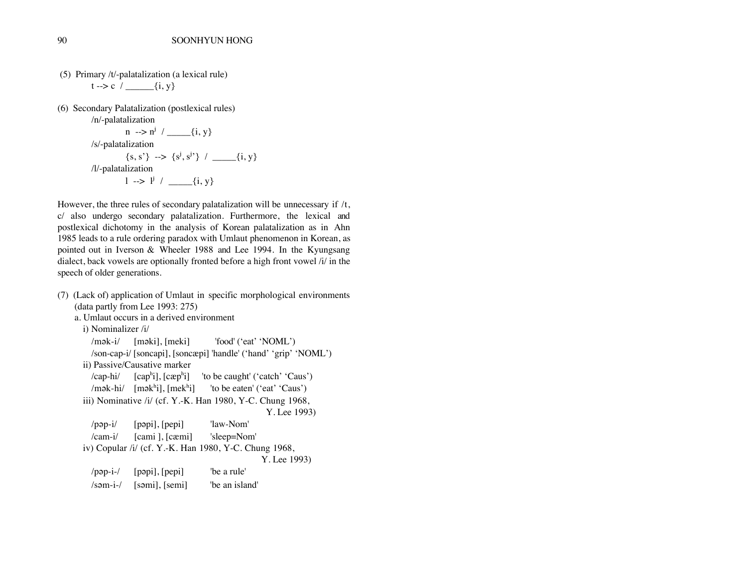- (5) Primary /t/-palatalization (a lexical rule)  $t \rightarrow c /$   $\{i, y\}$
- (6) Secondary Palatalization (postlexical rules) /n/-palatalization

```
n \rightarrow n^{j} / \underline{\qquad} \{i, y\}/s/-palatalization
           {s, s'} --> {s!, s!'} / _____{i, y}
/l/-palatalization
           l \rightarrow l^j / \_\_\ {i, y}
```
However, the three rules of secondary palatalization will be unnecessary if  $/t$ , c/ also undergo secondary palatalization. Furthermore, the lexical and postlexical dichotomy in the analysis of Korean palatalization as in Ahn 1985 leads to a rule ordering paradox with Umlaut phenomenon in Korean, as pointed out in Iverson & Wheeler 1988 and Lee 1994. In the Kyungsang dialect, back vowels are optionally fronted before a high front vowel /i/ in the speech of older generations.

```
(7) (Lack of) application of Umlaut in specific morphological environments
    (data partly from Lee 1993: 275)
    a. Umlaut occurs in a derived environment
      i) Nominalizer /i/
        /mək-i/ [məki], [meki] 'food' ('eat' 'NOML')
        /son-cap-i/ [soncapi], [soncæpi] 'handle' ('hand' 'grip' 'NOML')
      ii) Passive/Causative marker
        /cap-hi/[cap<sup>h</sup>1], [cap<sup>h</sup>1]'to be caught' ('catch' 'Caus')
         /mək-hi/ [məkʰi], [mekʰ
                                        'to be eaten' ('eat' 'Caus')
      iii) Nominative /i/ (cf. Y.-K. Han 1980, Y-C. Chung 1968, 
                                                       Y. Lee 1993)
        \lvertp\lvertp\lvertp\lvertp\lvertp\lvertpepi] 'law-Nom'
        /cam-i/ [cami ], [cæmi] 'sleep=Nom'
      iv) Copular /i/ (cf. Y.-K. Han 1980, Y-C. Chung 1968,
                                                      Y. Lee 1993)
        \pi/pap-i-/ [papi], [pepi] 'be a rule'
        \gamma /səm-i-\gamma [səmi], [semi] be an island'
```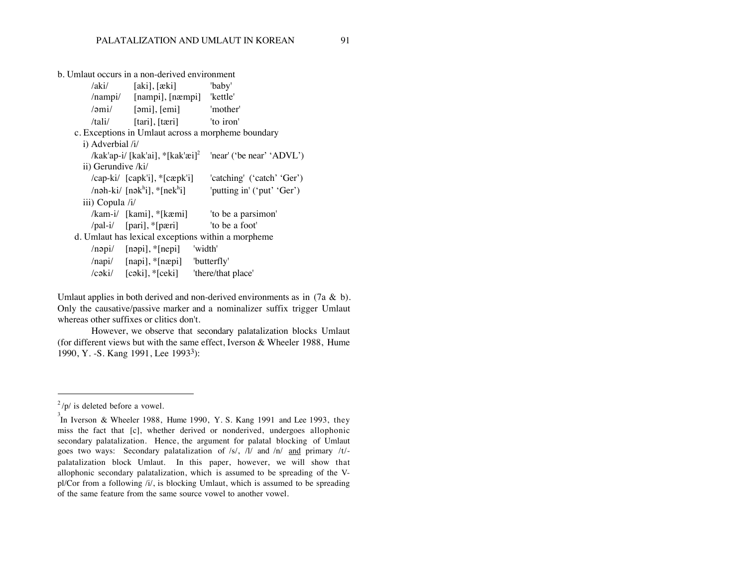b. Umlaut occurs in a non-derived environment /aki/ [aki], [æki] 'baby' /nampi/ [nampi], [næmpi] 'kettle'  $\gamma$  /2mi/ [2mi], [emi]  $\gamma$  'mother' /tali/ [tari], [tæri] 'to iron' c. Exceptions in Umlaut across a morpheme boundary i) Adverbial /i/ /kak'ap-i/ [kak'ai],  $*$ [kak'æi]<sup>2</sup> 'near' ('be near' 'ADVL') ii) Gerundive /ki/ /cap-ki/ [capk'i], \*[cæpk'i] 'catching' ('catch' 'Ger') /nəh-ki/ [nəkʰi], \*[nekʰ 'putting in' ('put' 'Ger') iii) Copula /i/ /kam-i/ [kami], \*[kæmi] 'to be a parsimon' /pal-i/ [pari], \*[pæri] 'to be a foot' d. Umlaut has lexical exceptions within a morpheme  $\langle$ n $\varphi$ pi/ [n $\varphi$ pi],  $\langle$ [nepi] 'width' /napi/ [napi], \*[næpi] 'butterfly' /cəki/ [cəki], \*[ceki] 'there/that place'

Umlaut applies in both derived and non-derived environments as in  $(7a \& b)$ . Only the causative/passive marker and a nominalizer suffix trigger Umlaut whereas other suffixes or clitics don't.

However, we observe that secondary palatalization blocks Umlaut (for different views but with the same effect, Iverson  $&$  Wheeler 1988, Hume 1990, Y. -S. Kang 1991, Lee 1993<sup>3</sup>):

 $\overline{a}$ 

 $^{2}$ /p/ is deleted before a vowel.

<sup>3</sup> In Iverson & Wheeler 1988, Hume 1990, Y. S. Kang 1991 and Lee 1993, they miss the fact that [c], whether derived or nonderived, undergoes allophonic secondary palatalization. Hence, the argument for palatal blocking of Umlaut goes two ways: Secondary palatalization of /s/, /l/ and /n/ and primary /t/ palatalization block Umlaut. In this paper, however, we will show that allophonic secondary palatalization, which is assumed to be spreading of the Vpl/Cor from a following /i/, is blocking Umlaut, which is assumed to be spreading of the same feature from the same source vowel to another vowel.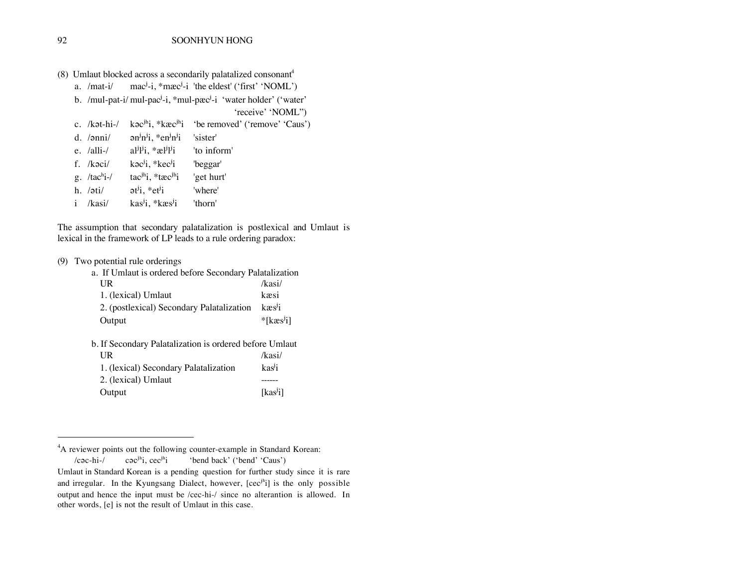| (8) Umlaut blocked across a secondarily palatalized consonant <sup>4</sup> |  |  |
|----------------------------------------------------------------------------|--|--|
|                                                                            |  |  |

a.  $/$ mat-i $/$  mac<sup>j</sup>-i,  $*$ mæc<sup>j</sup>-i 'the eldest' ('first' 'NOML')

b. /mul-pat-i/ mul-pac<sup>j</sup>-i, \*mul-pæc<sup>j</sup>-i 'water holder' ('water'

'receive' 'NOML'')

|           |                                                                                                | c. /kət-hi-/ kə $c^{jh}$ i, *k $\alpha c^{jh}$ i 'be removed' ('remove' 'Caus') |
|-----------|------------------------------------------------------------------------------------------------|---------------------------------------------------------------------------------|
|           | d. $\langle$ ani/ an <sup>j</sup> n <sup>j</sup> i, *en <sup>j</sup> n <sup>j</sup> i 'sister' |                                                                                 |
|           | e. /alli-/ $a^{j}l^{j}i$ , * $a^{j}l^{j}i$ to inform                                           |                                                                                 |
| f. /kəci/ | $k$ $\sigma$ <sup>j</sup> i, * $k$ e $\sigma$ <sup>j</sup> i beggar'                           |                                                                                 |
|           | g. /tac <sup>h</sup> i-/ tac <sup>jh</sup> i, *tæc <sup>jh</sup> i 'get hurt'                  |                                                                                 |
|           | h. / $\sigma t$ i/ $\sigma t$ <sup>j</sup> i, *et <sup>j</sup> i vhere'                        |                                                                                 |
|           | i /kasi/ $\text{kas}^{j}$ i, *kæs <sup>j</sup> i 'thorn'                                       |                                                                                 |
|           |                                                                                                |                                                                                 |

The assumption that secondary palatalization is postlexical and Umlaut is lexical in the framework of LP leads to a rule ordering paradox:

#### (9) Two potential rule orderings

| a. If Umlaut is ordered before Secondary Palatalization |                             |
|---------------------------------------------------------|-----------------------------|
| UR                                                      | /kasi/                      |
| 1. (lexical) Umlaut                                     | kæsi                        |
| 2. (postlexical) Secondary Palatalization               | $k$ $\approx$ $\frac{1}{2}$ |
| Output                                                  | $*$ [kæs <sup>j</sup> i]    |
| b. If Secondary Palatalization is ordered before Umlaut |                             |
| UR                                                      | /kasi/                      |
| 1. (lexical) Secondary Palatalization                   | kas <sup>j</sup> i          |
| 2. (lexical) Umlaut                                     |                             |
| Output                                                  | [kas <sup>j</sup> i]        |
|                                                         |                             |

<sup>4</sup>A reviewer points out the following counter-example in Standard Korean:

 $/$ c $\alpha$ -hi- $/$  $h$ <sub>i</sub>, cec<sup>jh</sup> 'bend back' ('bend' 'Caus')

 $\overline{a}$ 

Umlaut in Standard Korean is a pending question for further study since it is rare and irregular. In the Kyungsang Dialect, however, [cec<sup>jh</sup>i] is the only possible output and hence the input must be /cec-hi-/ since no alterantion is allowed. In other words, [e] is not the result of Umlaut in this case.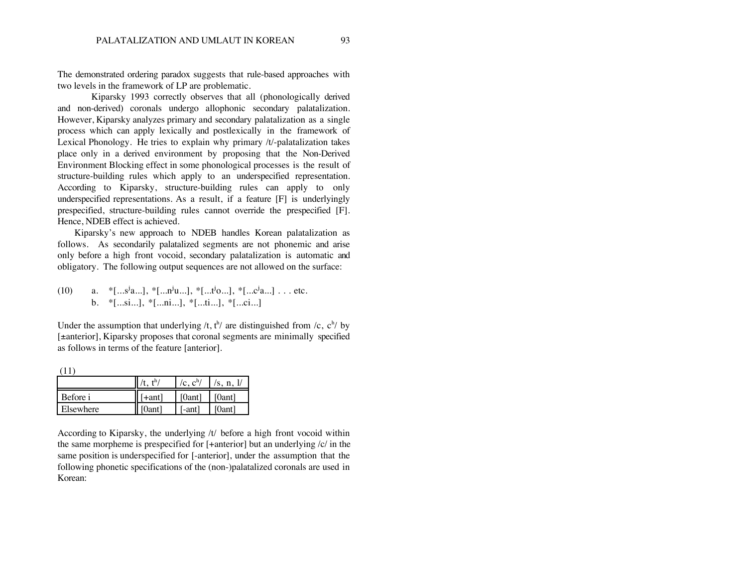The demonstrated ordering paradox suggests that rule-based approaches with two levels in the framework of LP are problematic.

Kiparsky 1993 correctly observes that all (phonologically derived and non-derived) coronals undergo allophonic secondary palatalization. However, Kiparsky analyzes primary and secondary palatalization as a single process which can apply lexically and postlexically in the framework of Lexical Phonology. He tries to explain why primary /t/-palatalization takes place only in a derived environment by proposing that the Non-Derived Environment Blocking effect in some phonological processes is the result of structure-building rules which apply to an underspecified representation. According to Kiparsky, structure-building rules can apply to only underspecified representations. As a result, if a feature [F] is underlyingly prespecified, structure-building rules cannot override the prespecified [F]. Hence, NDEB effect is achieved.

Kiparsky's new approach to NDEB handles Korean palatalization as follows. As secondarily palatalized segments are not phonemic and arise only before a high front vocoid, secondary palatalization is automatic and obligatory. The following output sequences are not allowed on the surface:

(10) a.  $*$ [...s<sup>j</sup>a...],  $*$ [...n<sup>j</sup>u...],  $*$ [...t<sup>j</sup>o...],  $*$ [...c<sup>j</sup>a...]...etc. b. \*[...si...], \*[...ni...], \*[...ti...], \*[...ci...]

Under the assumption that underlying /t,  $t^h$  are distinguished from /c,  $c^h$ / by [±anterior], Kiparsky proposes that coronal segments are minimally specified as follows in terms of the feature [anterior].

|           |        | /c, $c^h$ / | /s, n, $\frac{1}{2}$ |  |  |  |
|-----------|--------|-------------|----------------------|--|--|--|
| Before i  | [+ant] | [0ant]      | [0ant]               |  |  |  |
| Elsewhere | [0ant] | $[-ant]$    | [0ant]               |  |  |  |

According to Kiparsky, the underlying /t/ before a high front vocoid within the same morpheme is prespecified for  $[+$ anterior $]$  but an underlying  $|c|$  in the same position is underspecified for [-anterior], under the assumption that the following phonetic specifications of the (non-)palatalized coronals are used in Korean: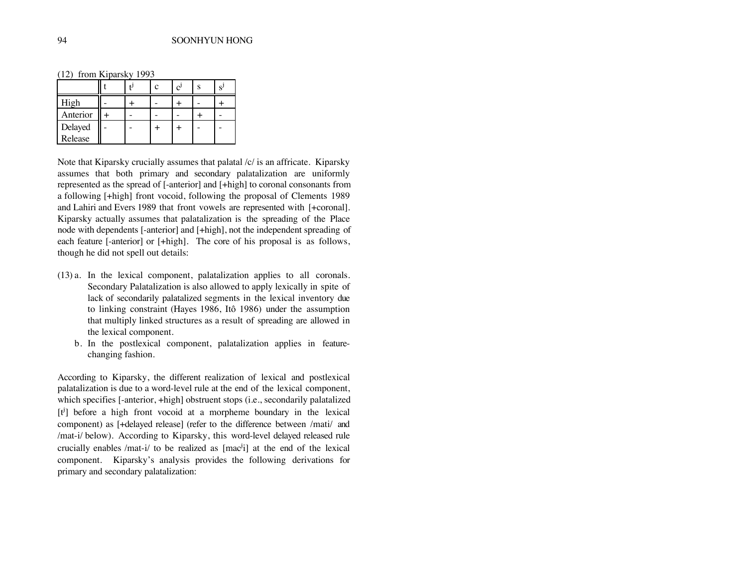(12) from Kiparsky 1993

|                    |  | لى |  |
|--------------------|--|----|--|
| High               |  |    |  |
| Anterior           |  |    |  |
| Delayed<br>Release |  |    |  |
|                    |  |    |  |

Note that Kiparsky crucially assumes that palatal /c/ is an affricate. Kiparsky assumes that both primary and secondary palatalization are uniformly represented as the spread of [-anterior] and [+high] to coronal consonants from a following [+high] front vocoid, following the proposal of Clements 1989 and Lahiri and Evers 1989 that front vowels are represented with [+coronal]. Kiparsky actually assumes that palatalization is the spreading of the Place node with dependents [-anterior] and [+high], not the independent spreading of each feature [-anterior] or [+high]. The core of his proposal is as follows, though he did not spell out details:

- (13) a. In the lexical component, palatalization applies to all coronals. Secondary Palatalization is also allowed to apply lexically in spite of lack of secondarily palatalized segments in the lexical inventory due to linking constraint (Hayes 1986, Itô 1986) under the assumption that multiply linked structures as a result of spreading are allowed in the lexical component.
	- b. In the postlexical component, palatalization applies in featurechanging fashion.

According to Kiparsky, the different realization of lexical and postlexical palatalization is due to a word-level rule at the end of the lexical component, which specifies [-anterior, +high] obstruent stops (i.e., secondarily palatalized  $[t^i]$  before a high front vocoid at a morpheme boundary in the lexical component) as [+delayed release] (refer to the difference between /mati/ and /mat-i/ below). According to Kiparsky, this word-level delayed released rule crucially enables /mat-i/ to be realized as  $[mac^j]$  at the end of the lexical component. Kiparsky's analysis provides the following derivations for primary and secondary palatalization: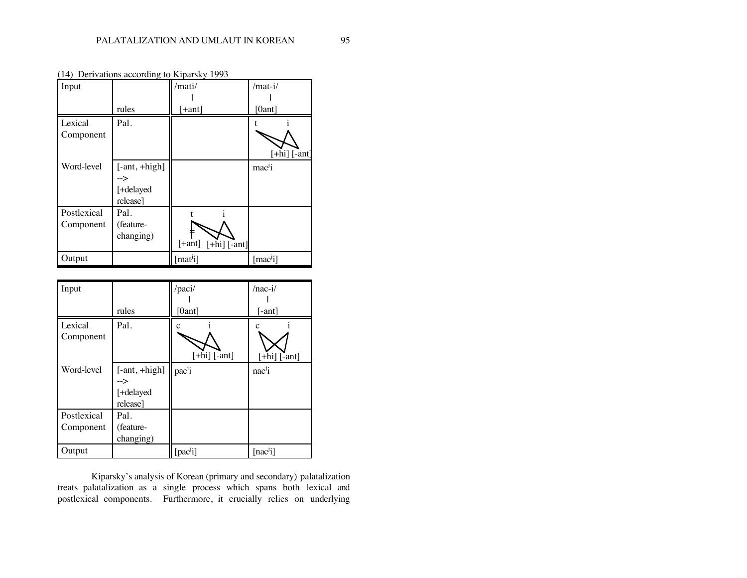|             |                 | $(14)$ Derivations according to Kiparsky 1999 |                           |
|-------------|-----------------|-----------------------------------------------|---------------------------|
| Input       |                 | /mati/                                        | /mat-i/                   |
|             |                 |                                               |                           |
|             | rules           | <sup>-</sup> +ant]                            | [0ant]                    |
| Lexical     | Pal.            |                                               |                           |
| Component   |                 |                                               |                           |
|             |                 |                                               | $[+hi]$ [-ant]            |
| Word-level  | $[-ant, +high]$ |                                               | mac <sup>j</sup> i        |
|             | -->             |                                               |                           |
|             | [+delayed       |                                               |                           |
|             | release]        |                                               |                           |
| Postlexical | Pal.            |                                               |                           |
| Component   | (feature-       |                                               |                           |
|             | changing)       |                                               |                           |
|             |                 | $[+ant]$<br>$[-\text{hi}]$ $[-\text{ant}]$    |                           |
| Output      |                 | [mat <sup>j</sup> i]                          | $[\text{mac}^{\text{j}}]$ |

(14) Derivations according to Kiparsky 1993

| Input       |                 | /paci/             | $/ nac-i/$          |
|-------------|-----------------|--------------------|---------------------|
|             |                 |                    |                     |
|             | rules           | [0ant]             | [-ant]              |
| Lexical     | Pal.            |                    |                     |
| Component   |                 |                    |                     |
|             |                 | $[+hi]$ [-ant]     | $[+hi]$ [-ant]      |
| Word-level  | $[-ant, +high]$ | pac <sup>j</sup> i | nac <sup>j</sup> i  |
|             | -->             |                    |                     |
|             | [+delayed       |                    |                     |
|             | release]        |                    |                     |
| Postlexical | Pal.            |                    |                     |
| Component   | (feature-       |                    |                     |
|             | changing)       |                    |                     |
| Output      |                 | $[{\rm pac}^j]$    | [nac <sup>j</sup> ] |

Kiparsky's analysis of Korean (primary and secondary) palatalization treats palatalization as a single process which spans both lexical and postlexical components. Furthermore, it crucially relies on underlying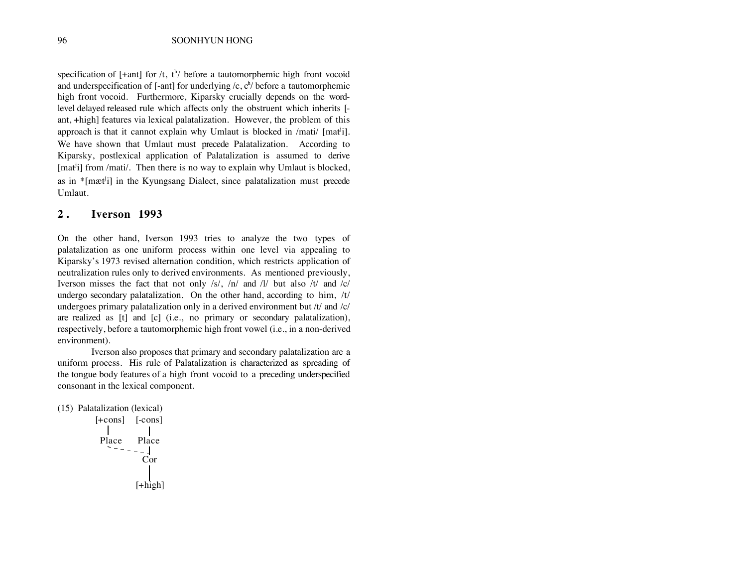specification of  $[+ant]$  for /t,  $t^h$ / before a tautomorphemic high front vocoid and underspecification of [-ant] for underlying  $/c$ ,  $c^h$  before a tautomorphemic high front vocoid. Furthermore, Kiparsky crucially depends on the wordlevel delayed released rule which affects only the obstruent which inherits [ ant, +high] features via lexical palatalization. However, the problem of this approach is that it cannot explain why Umlaut is blocked in  $/$ mati $/$  [mat<sup>i</sup>i]. We have shown that Umlaut must precede Palatalization. According to Kiparsky, postlexical application of Palatalization is assumed to derive  $[mat<sup>j</sup>]$  from /mati/. Then there is no way to explain why Umlaut is blocked, as in  $\text{*}[m\text{at}^{\text{th}}]$  in the Kyungsang Dialect, since palatalization must precede Umlaut.

#### **2 . Iverson 1993**

On the other hand, Iverson 1993 tries to analyze the two types of palatalization as one uniform process within one level via appealing to Kiparsky's 1973 revised alternation condition, which restricts application of neutralization rules only to derived environments. As mentioned previously, Iverson misses the fact that not only /s/, /n/ and /l/ but also /t/ and /c/ undergo secondary palatalization. On the other hand, according to him,  $/t/t$ undergoes primary palatalization only in a derived environment but /t/ and /c/ are realized as [t] and [c] (i.e., no primary or secondary palatalization), respectively, before a tautomorphemic high front vowel (i.e., in a non-derived environment).

Iverson also proposes that primary and secondary palatalization are a uniform process. His rule of Palatalization is characterized as spreading of the tongue body features of a high front vocoid to a preceding underspecified consonant in the lexical component.

```
(15) Palatalization (lexical)
        [+cons] [-cons]
          Place Place
                   Cor
                  [+high]
```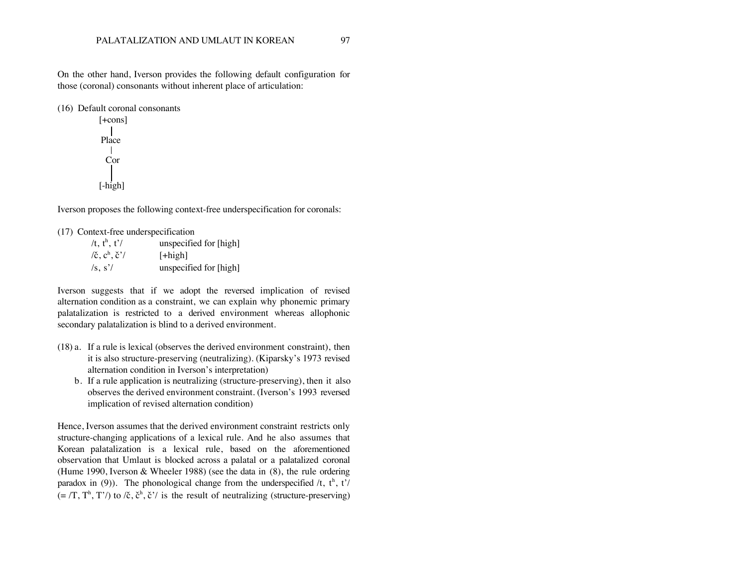On the other hand, Iverson provides the following default configuration for those (coronal) consonants without inherent place of articulation:

(16) Default coronal consonants

[+cons] Place Cor [-high]

Iverson proposes the following context-free underspecification for coronals:

(17) Context-free underspecification

/t,  $t^h$ ,  $t^{\prime}$ / unspecified for [high]  $\chi$ <sub>c</sub>  $c^h$ ,  $\check{c}$ <sup>'</sup>/  $[+high]$ /s, s'/ unspecified for [high]

Iverson suggests that if we adopt the reversed implication of revised alternation condition as a constraint, we can explain why phonemic primary palatalization is restricted to a derived environment whereas allophonic secondary palatalization is blind to a derived environment.

- (18) a. If a rule is lexical (observes the derived environment constraint), then it is also structure-preserving (neutralizing). (Kiparsky's 1973 revised alternation condition in Iverson's interpretation)
	- b. If a rule application is neutralizing (structure-preserving), then it also observes the derived environment constraint. (Iverson's 1993 reversed implication of revised alternation condition)

Hence, Iverson assumes that the derived environment constraint restricts only structure-changing applications of a lexical rule. And he also assumes that Korean palatalization is a lexical rule, based on the aforementioned observation that Umlaut is blocked across a palatal or a palatalized coronal (Hume 1990, Iverson & Wheeler 1988) (see the data in (8), the rule ordering paradox in (9)). The phonological change from the underspecified  $/t$ ,  $t<sup>h</sup>$ ,  $t'/t$  $(=(T, T^h, T')$  to  $\ell \tilde{c}, \tilde{c}^h, \tilde{c}'$  is the result of neutralizing (structure-preserving)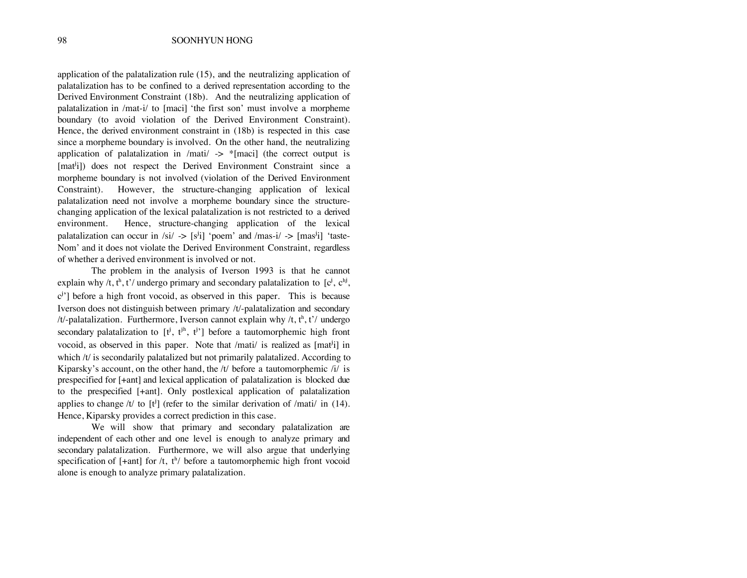application of the palatalization rule (15), and the neutralizing application of palatalization has to be confined to a derived representation according to the Derived Environment Constraint (18b). And the neutralizing application of palatalization in /mat-i/ to [maci] 'the first son' must involve a morpheme boundary (to avoid violation of the Derived Environment Constraint). Hence, the derived environment constraint in (18b) is respected in this case since a morpheme boundary is involved. On the other hand, the neutralizing application of palatalization in /mati/  $\rightarrow$  \*[maci] (the correct output is [mat<sup>j</sup>i]) does not respect the Derived Environment Constraint since a morpheme boundary is not involved (violation of the Derived Environment Constraint). However, the structure-changing application of lexical palatalization need not involve a morpheme boundary since the structurechanging application of the lexical palatalization is not restricted to a derived environment. Hence, structure-changing application of the lexical palatalization can occur in /si/  $\rightarrow$  [s<sup>j</sup>i] 'poem' and /mas-i/  $\rightarrow$  [mas<sup>j</sup>i] 'taste-Nom' and it does not violate the Derived Environment Constraint, regardless of whether a derived environment is involved or not.

The problem in the analysis of Iverson 1993 is that he cannot explain why /t, t<sup>h</sup>, t'/ undergo primary and secondary palatalization to [c<sup>j</sup>, c<sup>hj</sup>,  $c^{\prime}$ ] before a high front vocoid, as observed in this paper. This is because Iverson does not distinguish between primary /t/-palatalization and secondary /t/-palatalization. Furthermore, Iverson cannot explain why /t,  $t^h$ , t'/ undergo secondary palatalization to  $[t^j, t^{jh}, t^{j}$ ] before a tautomorphemic high front vocoid, as observed in this paper. Note that /mati/ is realized as [mat<sup>j</sup>i] in which /t/ is secondarily palatalized but not primarily palatalized. According to Kiparsky's account, on the other hand, the  $/t/$  before a tautomorphemic  $/i/$  is prespecified for [+ant] and lexical application of palatalization is blocked due to the prespecified [+ant]. Only postlexical application of palatalization applies to change /t/ to  $[t^j]$  (refer to the similar derivation of /mati/ in (14). Hence, Kiparsky provides a correct prediction in this case.

We will show that primary and secondary palatalization are independent of each other and one level is enough to analyze primary and secondary palatalization. Furthermore, we will also argue that underlying specification of  $[+ant]$  for /t,  $t^h$ / before a tautomorphemic high front vocoid alone is enough to analyze primary palatalization.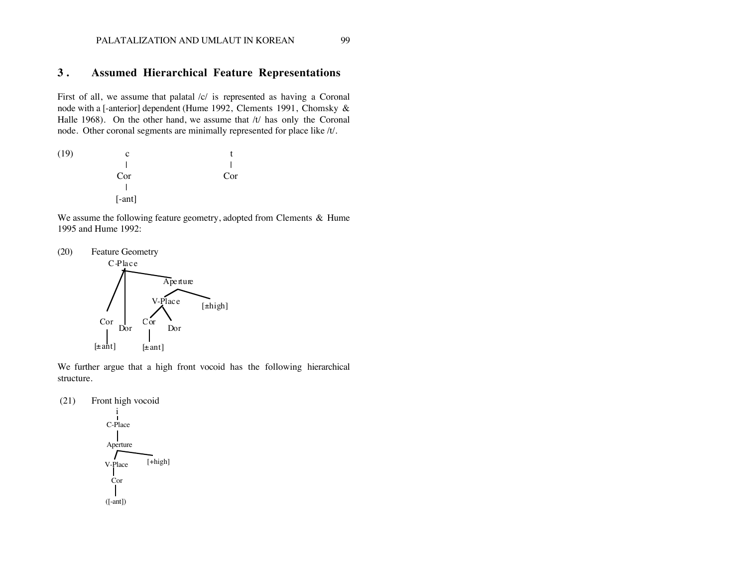#### PALATALIZATION AND UMLAUT IN KOREAN 99

#### **3 . Assumed Hierarchical Feature Representations**

First of all, we assume that palatal /c/ is represented as having a Coronal node with a [-anterior] dependent (Hume 1992, Clements 1991, Chomsky & Halle 1968). On the other hand, we assume that /t/ has only the Coronal node. Other coronal segments are minimally represented for place like /t/.

 $(19)$  c t | | Cor Cor  $\mathbf{I}$ | [-ant]

We assume the following feature geometry, adopted from Clements & Hume 1995 and Hume 1992:



We further argue that a high front vocoid has the following hierarchical structure.

(21) Front high vocoid

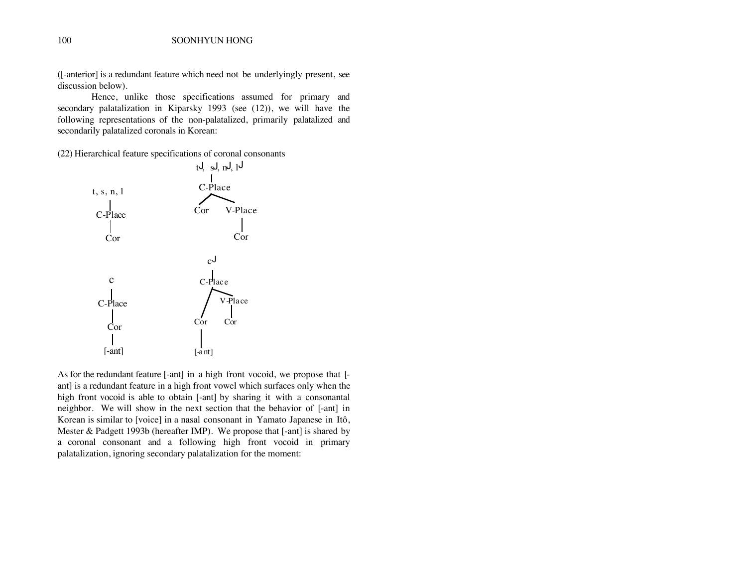([-anterior] is a redundant feature which need not be underlyingly present, see discussion below).

Hence, unlike those specifications assumed for primary and secondary palatalization in Kiparsky 1993 (see (12)), we will have the following representations of the non-palatalized, primarily palatalized and secondarily palatalized coronals in Korean:

(22) Hierarchical feature specifications of coronal consonants



As for the redundant feature [-ant] in a high front vocoid, we propose that [ ant] is a redundant feature in a high front vowel which surfaces only when the high front vocoid is able to obtain [-ant] by sharing it with a consonantal neighbor. We will show in the next section that the behavior of [-ant] in Korean is similar to [voice] in a nasal consonant in Yamato Japanese in Itô, Mester & Padgett 1993b (hereafter IMP). We propose that [-ant] is shared by a coronal consonant and a following high front vocoid in primary palatalization, ignoring secondary palatalization for the moment: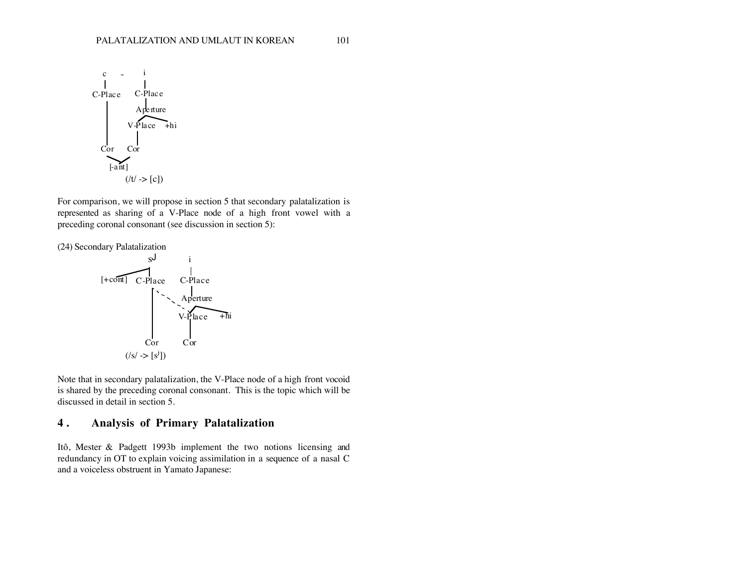

For comparison, we will propose in section 5 that secondary palatalization is represented as sharing of a V-Place node of a high front vowel with a preceding coronal consonant (see discussion in section 5):

(24) Secondary Palatalization



Note that in secondary palatalization, the V-Place node of a high front vocoid is shared by the preceding coronal consonant. This is the topic which will be discussed in detail in section 5.

## **4 . Analysis of Primary Palatalization**

Itô, Mester & Padgett 1993b implement the two notions licensing and redundancy in OT to explain voicing assimilation in a sequence of a nasal C and a voiceless obstruent in Yamato Japanese: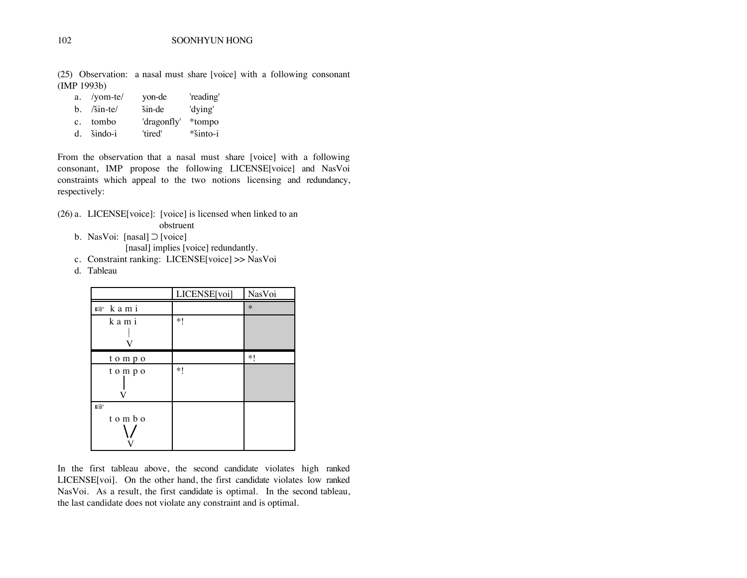(25) Observation: a nasal must share [voice] with a following consonant (IMP 1993b)

| a. /yom-te/   | yon-de      | 'reading'  |
|---------------|-------------|------------|
| $b.$ /sin-te/ | šin-de      | 'dying'    |
| c. tombo      | 'dragonfly' | *tompo     |
| d. šindo-i    | 'tired'     | $*sinto-i$ |

From the observation that a nasal must share [voice] with a following consonant, IMP propose the following LICENSE[voice] and NasVoi constraints which appeal to the two notions licensing and redundancy, respectively:

- (26) a. LICENSE[voice]: [voice] is licensed when linked to an
	- obstruent
	- b. NasVoi: [nasal]  $\supset$  [voice]
		- [nasal] implies [voice] redundantly.
	- c. Constraint ranking: LICENSE[voice] >> NasVoi
	- d. Tableau

|                     | LICENSE[voi] | NasVoi |
|---------------------|--------------|--------|
| n <sup>s</sup> kami |              | $\ast$ |
| kami<br>V           | $*!$         |        |
| tompo               |              | $*!$   |
| tompo               | $*1$         |        |
| 曙<br>tombo          |              |        |

In the first tableau above, the second candidate violates high ranked LICENSE[voi]. On the other hand, the first candidate violates low ranked NasVoi. As a result, the first candidate is optimal. In the second tableau, the last candidate does not violate any constraint and is optimal.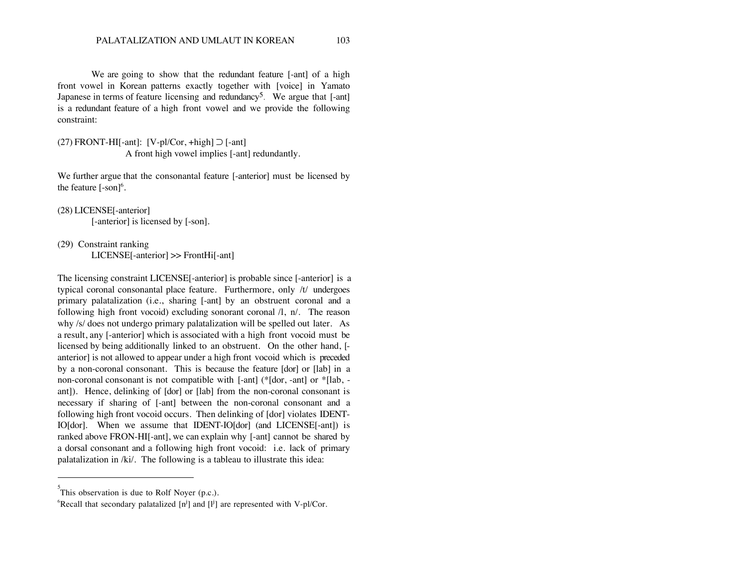We are going to show that the redundant feature [-ant] of a high front vowel in Korean patterns exactly together with [voice] in Yamato Japanese in terms of feature licensing and redundancy<sup>5</sup>. We argue that  $[-ant]$ is a redundant feature of a high front vowel and we provide the following constraint:

(27) FRONT-HI<sup>[-ant]:</sup> [V-pl/Cor, +high]  $\supset$  [-ant] A front high vowel implies [-ant] redundantly.

We further argue that the consonantal feature [-anterior] must be licensed by the feature  $[-son]^6$ .

```
(28) LICENSE[-anterior]
```
[-anterior] is licensed by [-son].

(29) Constraint ranking

LICENSE[-anterior] >> FrontHi[-ant]

The licensing constraint LICENSE[-anterior] is probable since [-anterior] is a typical coronal consonantal place feature. Furthermore, only /t/ undergoes primary palatalization (i.e., sharing [-ant] by an obstruent coronal and a following high front vocoid) excluding sonorant coronal /l, n/. The reason why /s/ does not undergo primary palatalization will be spelled out later. As a result, any [-anterior] which is associated with a high front vocoid must be licensed by being additionally linked to an obstruent. On the other hand, [ anterior] is not allowed to appear under a high front vocoid which is preceded by a non-coronal consonant. This is because the feature [dor] or [lab] in a non-coronal consonant is not compatible with [-ant] (\*[dor, -ant] or \*[lab, ant]). Hence, delinking of [dor] or [lab] from the non-coronal consonant is necessary if sharing of [-ant] between the non-coronal consonant and a following high front vocoid occurs. Then delinking of [dor] violates IDENT-IO[dor]. When we assume that IDENT-IO[dor] (and LICENSE[-ant]) is ranked above FRON-HI[-ant], we can explain why [-ant] cannot be shared by a dorsal consonant and a following high front vocoid: i.e. lack of primary palatalization in /ki/. The following is a tableau to illustrate this idea:

 $\overline{a}$ 

 $5^5$ This observation is due to Rolf Noyer (p.c.).

<sup>&</sup>lt;sup>6</sup>Recall that secondary palatalized  $[n^j]$  and  $[l^j]$  are represented with V-pl/Cor.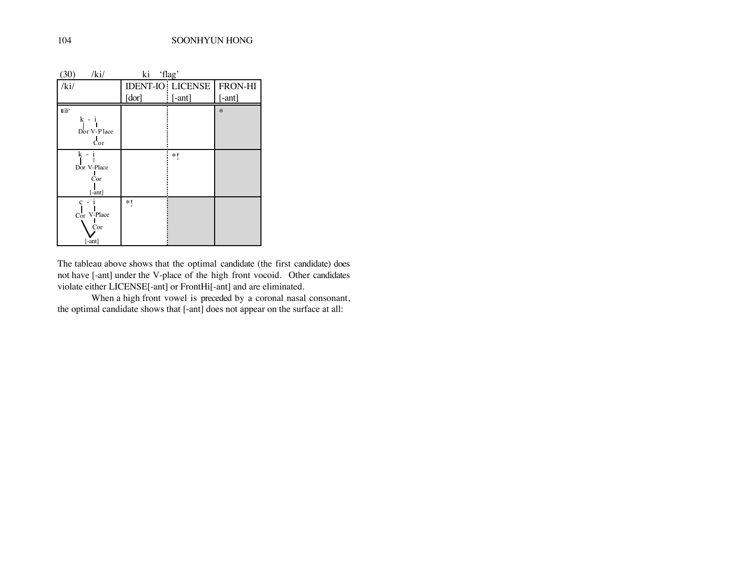| (30)<br>/ki/                            | ki 'flag' |                         |          |
|-----------------------------------------|-----------|-------------------------|----------|
| /ki/                                    |           | <b>IDENT-IO LICENSE</b> | FRON-HI  |
|                                         | [dor]     | $[-ant]$                | $[-ant]$ |
| 唿<br>$k -$<br>Dor V-Place<br>Cor        |           |                         | $\ast$   |
| k<br>Dor V-Place<br>Cor<br>$[ -ant]$    |           | *1                      |          |
| $c -$<br>Cor V-Place<br>Cor<br>$[-ant]$ | $*!$      |                         |          |

The tableau above shows that the optimal candidate (the first candidate) does not have [-ant] under the V-place of the high front vocoid. Other candidates violate either LICENSE[-ant] or FrontHi[-ant] and are eliminated.

When a high front vowel is preceded by a coronal nasal consonant, the optimal candidate shows that [-ant] does not appear on the surface at all: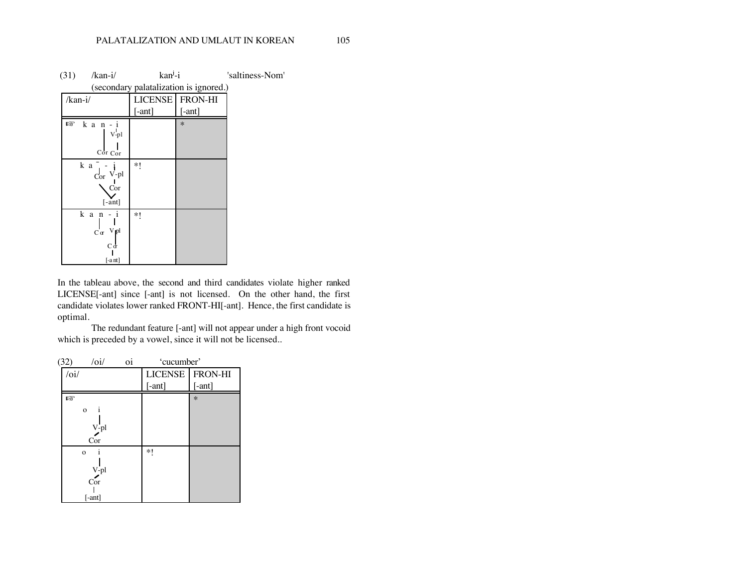| (31)    | $/kan-i/$                                                    | $kanj-i$            |         | 'saltiness-Nom' |  |  |  |  |  |
|---------|--------------------------------------------------------------|---------------------|---------|-----------------|--|--|--|--|--|
|         | (secondary palatalization is ignored.)                       |                     |         |                 |  |  |  |  |  |
| /kan-i/ |                                                              | LICENSE <sup></sup> | FRON-HI |                 |  |  |  |  |  |
|         |                                                              | $[ -ant]$           | [-ant]  |                 |  |  |  |  |  |
| 隐       | $k$ a $n - i$<br>V-pl<br>Cor Cor                             |                     | $\ast$  |                 |  |  |  |  |  |
|         | k a<br>$Cor$ V-pl<br>Cor<br>$[-ant]$                         | *1                  |         |                 |  |  |  |  |  |
|         | kan-<br>-1<br>$C \cdot \alpha$ Vpl<br>$C\sigma$<br>$[-a$ nt] | *1                  |         |                 |  |  |  |  |  |

In the tableau above, the second and third candidates violate higher ranked LICENSE[-ant] since [-ant] is not licensed. On the other hand, the first candidate violates lower ranked FRONT-HI[-ant]. Hence, the first candidate is optimal.

The redundant feature [-ant] will not appear under a high front vocoid which is preceded by a vowel, since it will not be licensed..

| (32)                                | $\overline{\overline{\mathrm{o}i}}$ | 0i | 'cucumber'        |           |  |  |
|-------------------------------------|-------------------------------------|----|-------------------|-----------|--|--|
| $\overline{\overline{\mathrm{o}i}}$ |                                     |    | LICENSE   FRON-HI |           |  |  |
|                                     |                                     |    | $[ -ant]$         | $[ -ant]$ |  |  |
| 曙                                   |                                     |    |                   | $\ast$    |  |  |
|                                     | $\mathbf{o}$                        |    |                   |           |  |  |
|                                     | V-pl                                |    |                   |           |  |  |
|                                     | Cor                                 |    |                   |           |  |  |
|                                     | $\mathbf{o}$<br>1                   |    | *1                |           |  |  |
|                                     |                                     |    |                   |           |  |  |
|                                     | $\sum_{Cor}^{V\text{-}\mathrm{pl}}$ |    |                   |           |  |  |
|                                     | $[-ant]$                            |    |                   |           |  |  |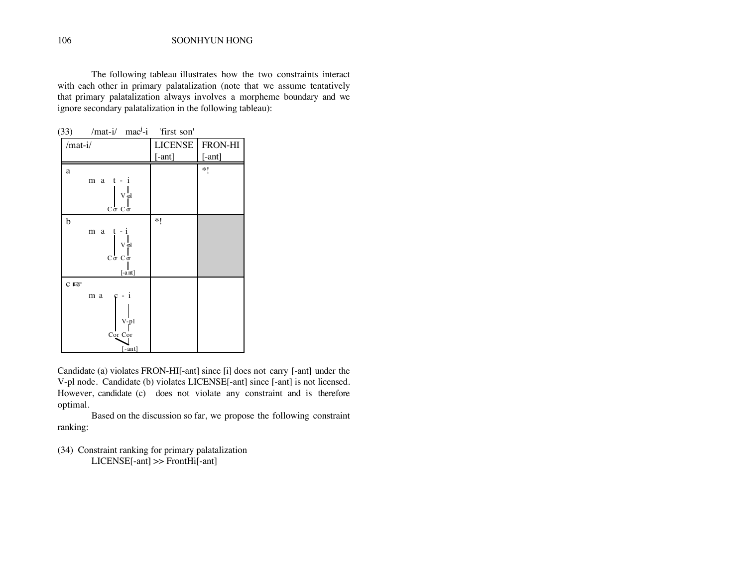The following tableau illustrates how the two constraints interact with each other in primary palatalization (note that we assume tentatively that primary palatalization always involves a morpheme boundary and we ignore secondary palatalization in the following tableau):

|                    | $(33)$ /mat-i/ mac <sup>j</sup> -i 'first son'                                            |                |          |
|--------------------|-------------------------------------------------------------------------------------------|----------------|----------|
| /mat-i/            |                                                                                           | <b>LICENSE</b> | FRON-HI  |
|                    |                                                                                           | $[-ant]$       | $[-ant]$ |
| a                  |                                                                                           |                | *1       |
|                    | $m a t - i$                                                                               |                |          |
|                    | $V\frac{1}{l}$<br>$C\, \alpha \ C\, \alpha$                                               |                |          |
| b                  |                                                                                           | *1             |          |
|                    | $m \ a \ t - i$<br>${\rm v}\frac{\text{I}}{\text{I}}$<br>$C\alpha$ $C\alpha$<br>$[-a$ nt] |                |          |
| $c \ntriangleleft$ |                                                                                           |                |          |
|                    | m a<br>-1                                                                                 |                |          |
|                    | $V-p1$<br>Cor Cor<br>$[-ant]$                                                             |                |          |

Candidate (a) violates FRON-HI[-ant] since [i] does not carry [-ant] under the V-pl node. Candidate (b) violates LICENSE[-ant] since [-ant] is not licensed. However, candidate (c) does not violate any constraint and is therefore optimal.

Based on the discussion so far, we propose the following constraint ranking:

(34) Constraint ranking for primary palatalization LICENSE[-ant] >> FrontHi[-ant]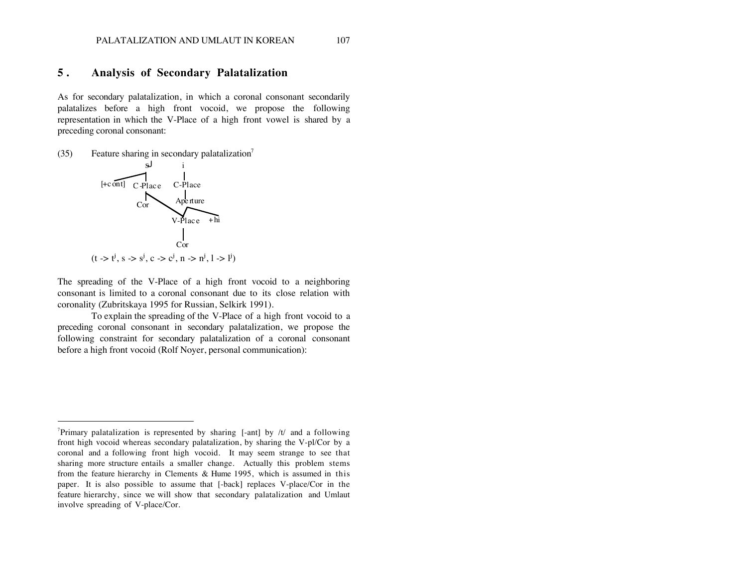#### PALATALIZATION AND UMLAUT IN KOREAN 107

#### **5 . Analysis of Secondary Palatalization**

As for secondary palatalization, in which a coronal consonant secondarily palatalizes before a high front vocoid, we propose the following representation in which the V-Place of a high front vowel is shared by a preceding coronal consonant:

(35) Feature sharing in secondary palatalization<sup>7</sup>



 $\overline{a}$ 

The spreading of the V-Place of a high front vocoid to a neighboring consonant is limited to a coronal consonant due to its close relation with coronality (Zubritskaya 1995 for Russian, Selkirk 1991).

To explain the spreading of the V-Place of a high front vocoid to a preceding coronal consonant in secondary palatalization, we propose the following constraint for secondary palatalization of a coronal consonant before a high front vocoid (Rolf Noyer, personal communication):

<sup>&</sup>lt;sup>7</sup>Primary palatalization is represented by sharing [-ant] by  $/t/$  and a following front high vocoid whereas secondary palatalization, by sharing the V-pl/Cor by a coronal and a following front high vocoid. It may seem strange to see that sharing more structure entails a smaller change. Actually this problem stems from the feature hierarchy in Clements & Hume 1995, which is assumed in this paper. It is also possible to assume that [-back] replaces V-place/Cor in the feature hierarchy, since we will show that secondary palatalization and Umlaut involve spreading of V-place/Cor.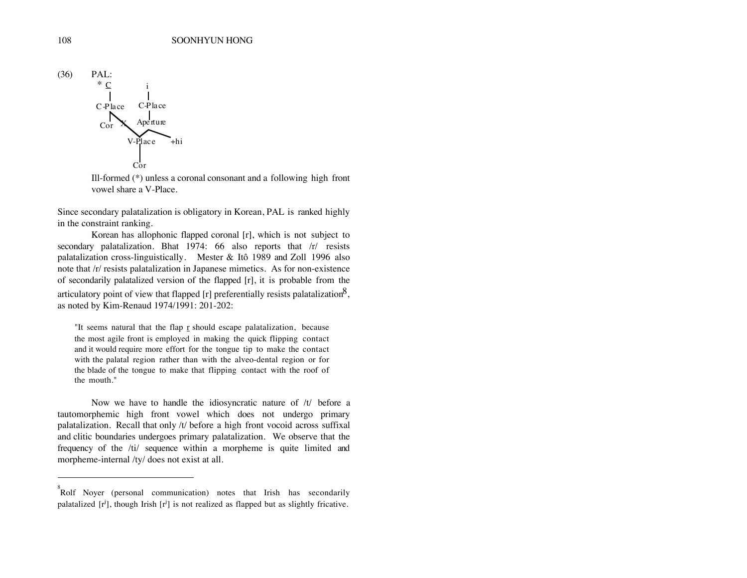

Ill-formed (\*) unless a coronal consonant and a following high front vowel share a V-Place.

Since secondary palatalization is obligatory in Korean, PAL is ranked highly in the constraint ranking.

Korean has allophonic flapped coronal [r], which is not subject to secondary palatalization. Bhat 1974: 66 also reports that /r/ resists palatalization cross-linguistically. Mester & Itô 1989 and Zoll 1996 also note that /r/ resists palatalization in Japanese mimetics. As for non-existence of secondarily palatalized version of the flapped [r], it is probable from the articulatory point of view that flapped [r] preferentially resists palatalization<sup>8</sup>, as noted by Kim-Renaud 1974/1991: 201-202:

"It seems natural that the flap  $r$  should escape palatalization, because the most agile front is employed in making the quick flipping contact and it would require more effort for the tongue tip to make the contact with the palatal region rather than with the alveo-dental region or for the blade of the tongue to make that flipping contact with the roof of the mouth."

Now we have to handle the idiosyncratic nature of /t/ before a tautomorphemic high front vowel which does not undergo primary palatalization. Recall that only /t/ before a high front vocoid across suffixal and clitic boundaries undergoes primary palatalization. We observe that the frequency of the /ti/ sequence within a morpheme is quite limited and morpheme-internal /ty/ does not exist at all.

 $\overline{a}$ 

<sup>8</sup> Rolf Noyer (personal communication) notes that Irish has secondarily palatalized  $[r^j]$ , though Irish  $[r^j]$  is not realized as flapped but as slightly fricative.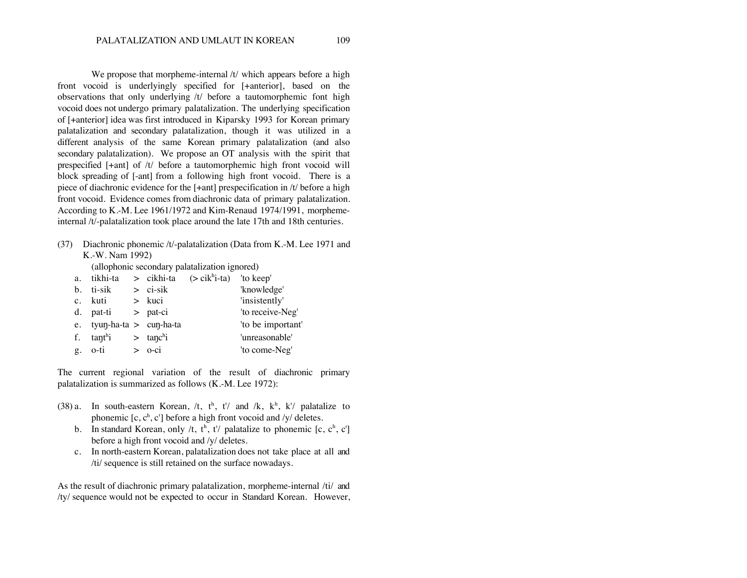We propose that morpheme-internal /t/ which appears before a high front vocoid is underlyingly specified for [+anterior], based on the observations that only underlying /t/ before a tautomorphemic font high vocoid does not undergo primary palatalization. The underlying specification of [+anterior] idea was first introduced in Kiparsky 1993 for Korean primary palatalization and secondary palatalization, though it was utilized in a different analysis of the same Korean primary palatalization (and also secondary palatalization). We propose an OT analysis with the spirit that prespecified [+ant] of /t/ before a tautomorphemic high front vocoid will block spreading of [-ant] from a following high front vocoid. There is a piece of diachronic evidence for the [+ant] prespecification in /t/ before a high front vocoid. Evidence comes from diachronic data of primary palatalization. According to K.-M. Lee 1961/1972 and Kim-Renaud 1974/1991, morphemeinternal /t/-palatalization took place around the late 17th and 18th centuries.

(37) Diachronic phonemic /t/-palatalization (Data from K.-M. Lee 1971 and K.-W. Nam 1992)

(allophonic secondary palatalization ignored)

| a. tikhi-ta                 |                         | $>$ cikhi-ta $(>$ cik <sup>h</sup> i-ta) 'to keep' |                   |
|-----------------------------|-------------------------|----------------------------------------------------|-------------------|
| b. ti-sik                   | $>$ ci-sik              |                                                    | 'knowledge'       |
| c. kuti                     | $>$ kuci                |                                                    | 'insistently'     |
| d. pat-ti                   | $>$ pat-ci              |                                                    | 'to receive-Neg'  |
| e. tyun-ha-ta $>$ cun-ha-ta |                         |                                                    | 'to be important' |
| f. $tanhi$                  | $>$ tanc <sup>h</sup> i |                                                    | 'unreasonable'    |
| g. o-ti                     | $>$ $o$ -ci             |                                                    | 'to come-Neg'     |

The current regional variation of the result of diachronic primary palatalization is summarized as follows (K.-M. Lee 1972):

- (38) a. In south-eastern Korean,  $/t$ ,  $t^h$ ,  $t^{\prime\prime}$  and  $/k$ ,  $k^h$ ,  $k^{\prime\prime}$  palatalize to phonemic  $[c, c^h, c']$  before a high front vocoid and /y/ deletes.
	- b. In standard Korean, only /t,  $t^h$ ,  $t^l$  palatalize to phonemic [c, c<sup>h</sup>, c'] before a high front vocoid and /y/ deletes.
	- c. In north-eastern Korean, palatalization does not take place at all and /ti/ sequence is still retained on the surface nowadays.

As the result of diachronic primary palatalization, morpheme-internal /ti/ and /ty/ sequence would not be expected to occur in Standard Korean. However,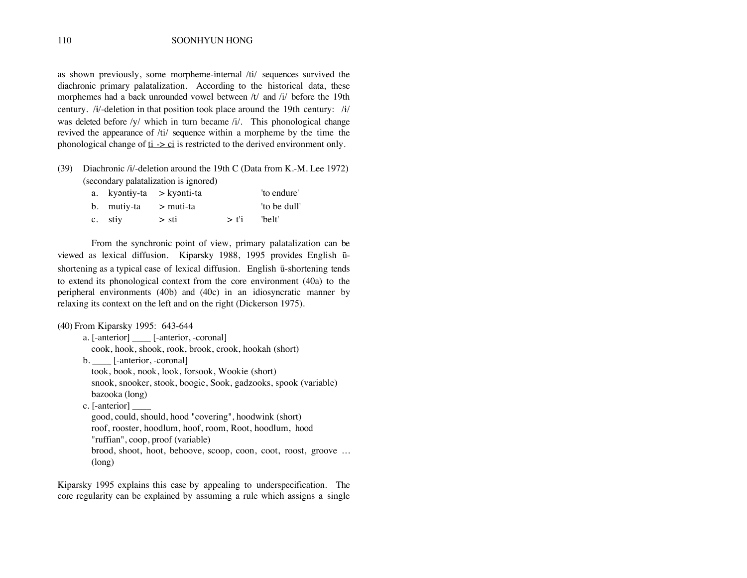as shown previously, some morpheme-internal /ti/ sequences survived the diachronic primary palatalization. According to the historical data, these morphemes had a back unrounded vowel between /t/ and /i/ before the 19th century. / $\frac{i}{4}$ -deletion in that position took place around the 19th century: / $\frac{i}{4}$ / was deleted before /y/ which in turn became /i/. This phonological change revived the appearance of /ti/ sequence within a morpheme by the time the phonological change of  $t_i \ge c_i$  is restricted to the derived environment only.

(39) Diachronic / $\frac{i}{4}$ -deletion around the 19th C (Data from K.-M. Lee 1972) (secondary palatalization is ignored)

|                         | a. kyantiy-ta > kyanti-ta |                      | 'to endure'  |
|-------------------------|---------------------------|----------------------|--------------|
| b. mutiy-ta $>$ muti-ta |                           |                      | 'to be dull' |
| $c.$ stiv               | $>$ sti                   | $>$ f <sup>'</sup> i | 'belt'       |

From the synchronic point of view, primary palatalization can be viewed as lexical diffusion. Kiparsky 1988, 1995 provides English ūshortening as a typical case of lexical diffusion. English ū-shortening tends to extend its phonological context from the core environment (40a) to the peripheral environments (40b) and (40c) in an idiosyncratic manner by relaxing its context on the left and on the right (Dickerson 1975).

```
(40) From Kiparsky 1995: 643-644
      a. [-anterior] ____ [-anterior, -coronal]
        cook, hook, shook, rook, brook, crook, hookah (short)
      b. [-anterior, -coronal]
        took, book, nook, look, forsook, Wookie (short)
        snook, snooker, stook, boogie, Sook, gadzooks, spook (variable)
        bazooka (long)
      c. [-anterior] ____
        good, could, should, hood "covering", hoodwink (short)
        roof, rooster, hoodlum, hoof, room, Root, hoodlum, hood
        "ruffian", coop, proof (variable)
        brood, shoot, hoot, behoove, scoop, coon, coot, roost, groove ...
        (long)
```
Kiparsky 1995 explains this case by appealing to underspecification. The core regularity can be explained by assuming a rule which assigns a single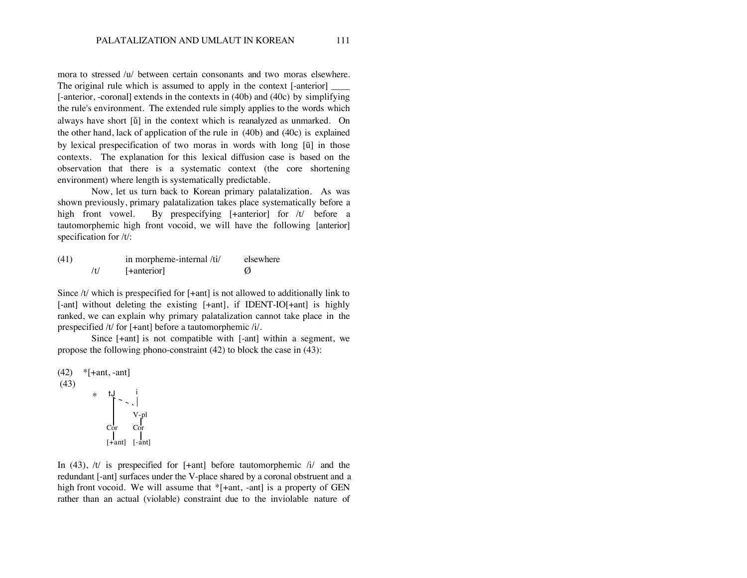mora to stressed /u/ between certain consonants and two moras elsewhere. The original rule which is assumed to apply in the context [-anterior] [-anterior, -coronal] extends in the contexts in (40b) and (40c) by simplifying the rule's environment. The extended rule simply applies to the words which always have short [ŭ] in the context which is reanalyzed as unmarked. On the other hand, lack of application of the rule in (40b) and (40c) is explained by lexical prespecification of two moras in words with long  $[\bar{u}]$  in those contexts. The explanation for this lexical diffusion case is based on the observation that there is a systematic context (the core shortening environment) where length is systematically predictable.

Now, let us turn back to Korean primary palatalization. As was shown previously, primary palatalization takes place systematically before a high front vowel. By prespecifying [+anterior] for /t/ before a tautomorphemic high front vocoid, we will have the following [anterior] specification for /t/:

| (41) | in morpheme-internal /ti/ | elsewhere |
|------|---------------------------|-----------|
|      | [+anterior]               |           |

Since /t/ which is prespecified for [+ant] is not allowed to additionally link to [-ant] without deleting the existing [+ant], if IDENT-IO[+ant] is highly ranked, we can explain why primary palatalization cannot take place in the prespecified /t/ for [+ant] before a tautomorphemic /i/.

Since [+ant] is not compatible with [-ant] within a segment, we propose the following phono-constraint (42) to block the case in (43):

(42) \*[+ant, -ant]  
\n(43) \* tJ - t  
\n
$$
\begin{array}{c}\n1 \\
\downarrow \\
\downarrow \\
\downarrow \\
\downarrow \\
\downarrow \\
\downarrow \\
\downarrow\n\end{array}
$$

In (43),  $/t/$  is prespecified for  $[+ant]$  before tautomorphemic  $/t/$  and the redundant [-ant] surfaces under the V-place shared by a coronal obstruent and a high front vocoid. We will assume that \*[+ant, -ant] is a property of GEN rather than an actual (violable) constraint due to the inviolable nature of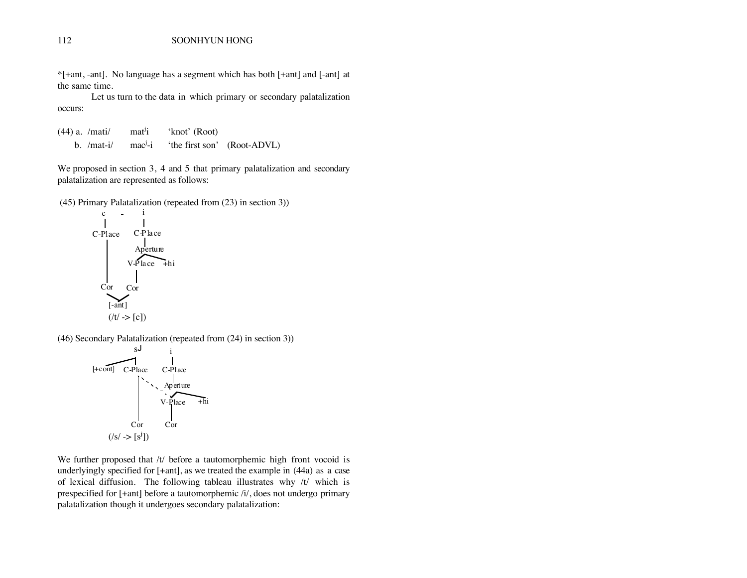\*[+ant, -ant]. No language has a segment which has both [+ant] and [-ant] at the same time.

Let us turn to the data in which primary or secondary palatalization occurs:

 $(44)$  a. /mati/ mat<sup>j</sup>i 'knot' (Root) b.  $/mat-i/$  mac<sup>j</sup>-i 'the first son' (Root-ADVL)

We proposed in section 3, 4 and 5 that primary palatalization and secondary palatalization are represented as follows:

(45) Primary Palatalization (repeated from (23) in section 3))



(46) Secondary Palatalization (repeated from (24) in section 3))

$$
[+cont]
$$
\n
$$
[+cont]
$$
\n
$$
[+cont]
$$
\n
$$
[+ 1]
$$
\n
$$
[+ 1]
$$
\n
$$
[+ 1]
$$
\n
$$
[+ 1]
$$
\n
$$
[+ 1]
$$
\n
$$
[+ 1]
$$
\n
$$
[+ 1]
$$
\n
$$
[+ 1]
$$
\n
$$
[+ 1]
$$
\n
$$
[+ 1]
$$
\n
$$
[+ 1]
$$
\n
$$
[+ 1]
$$
\n
$$
[+ 1]
$$
\n
$$
[+ 1]
$$
\n
$$
[+ 1]
$$
\n
$$
[+ 1]
$$
\n
$$
[+ 1]
$$
\n
$$
[+ 1]
$$
\n
$$
[+ 1]
$$
\n
$$
[+ 1]
$$
\n
$$
[+ 1]
$$
\n
$$
[+ 1]
$$
\n
$$
[+ 1]
$$
\n
$$
[+ 1]
$$
\n
$$
[+ 1]
$$
\n
$$
[+ 1]
$$
\n
$$
[+ 1]
$$
\n
$$
[+ 1]
$$
\n
$$
[+ 1]
$$
\n
$$
[+ 1]
$$
\n
$$
[+ 1]
$$
\n
$$
[+ 1]
$$
\n
$$
[+ 1]
$$
\n
$$
[+ 1]
$$
\n
$$
[+ 1]
$$
\n
$$
[+ 1]
$$
\n
$$
[+ 1]
$$
\n
$$
[+ 1]
$$
\n
$$
[+ 1]
$$
\n
$$
[+ 1]
$$
\n
$$
[+ 1]
$$
\n
$$
[+ 1]
$$
\n
$$
[+ 1]
$$
\n
$$
[+ 1]
$$
\n
$$
[+ 1]
$$
\n
$$
[+ 1]
$$
\n
$$
[+ 1]
$$
\n
$$
[+ 1]
$$
\n
$$
[+ 1]
$$
\n
$$
[+ 1]
$$
\n
$$
[+ 1]
$$
\n
$$
[+ 1]
$$

We further proposed that /t/ before a tautomorphemic high front vocoid is underlyingly specified for [+ant], as we treated the example in (44a) as a case of lexical diffusion. The following tableau illustrates why /t/ which is prespecified for [+ant] before a tautomorphemic /i/, does not undergo primary palatalization though it undergoes secondary palatalization: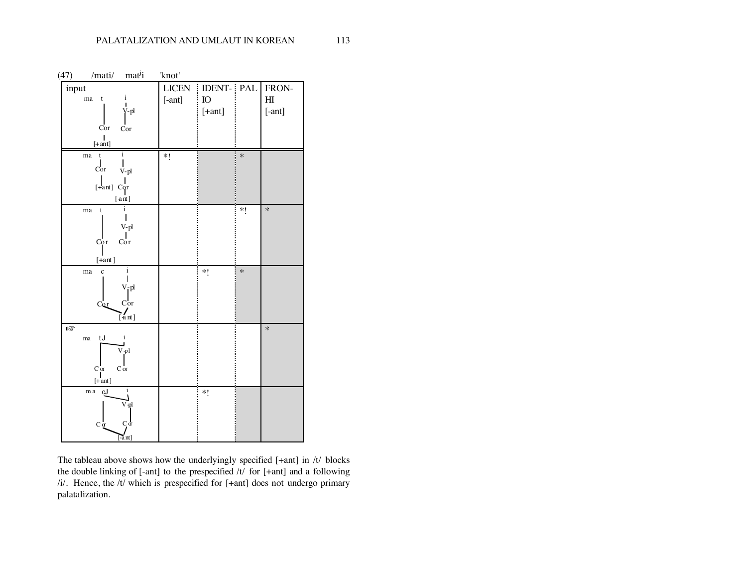|       | $(47)$ /mati/ mat <sup>j</sup> i                                                          | 'knot'   |                                                             |        |                          |
|-------|-------------------------------------------------------------------------------------------|----------|-------------------------------------------------------------|--------|--------------------------|
| input | $\mathbf{i}$<br>ma<br>$-t$<br>п<br>$V-pl$<br>Cor<br>Cor                                   | $[-ant]$ | LICEN   IDENT-   PAL   FRON-<br>$\overline{10}$<br>$[+ant]$ |        | H <sub>I</sub><br>[-ant] |
|       | $[+ant]$<br>i<br>ma t                                                                     | $*1$     |                                                             | $\ast$ |                          |
|       | Cor<br>$V$ -pl<br>[+ant] Cor<br>[ant]                                                     |          |                                                             |        |                          |
|       | i<br>t<br>ma<br>$V$ -pl<br>Cor<br>Cor<br>$[+ant]$                                         |          |                                                             | *1     | $\ast$                   |
|       | i<br>$\mathbf c$<br>ma<br>$V$ -pl<br>Cor<br>Cor<br>$[$ ant $]$                            |          | $\ast$ (                                                    | $\ast$ |                          |
| IS.   | i<br>tJ<br>ma<br>V <sub>pl</sub><br>$C$ or<br>$C$ or<br>$[+$ ant]                         |          |                                                             |        | $\ast$                   |
|       | $\mathbf{i}$<br>m a<br>۵٦<br>$\rm V\mbox{-}pl$<br>$C_1$ $\sigma$<br>$C\alpha$<br>$-$ ant] |          | $\ast$ (                                                    |        |                          |

The tableau above shows how the underlyingly specified [+ant] in /t/ blocks the double linking of [-ant] to the prespecified /t/ for [+ant] and a following /i/. Hence, the /t/ which is prespecified for [+ant] does not undergo primary palatalization.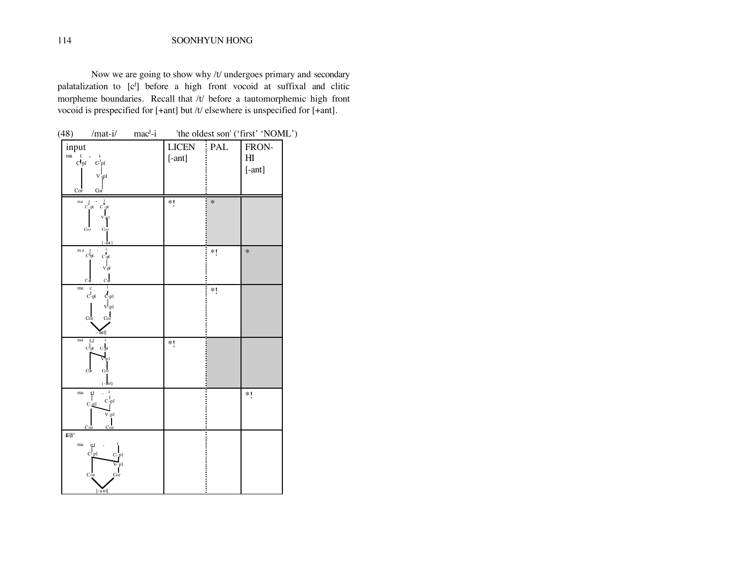Now we are going to show why /t/ undergoes primary and secondary palatalization to [c<sup>j</sup>] before a high front vocoid at suffixal and clitic morpheme boundaries. Recall that /t/ before a tautomorphemic high front vocoid is prespecified for [+ant] but /t/ elsewhere is unspecified for [+ant].

| (48)                                                                       | $/mat-i/$ mac <sup>j</sup> -i                                                                       |                        |                | 'the oldest son' ('first' 'NOML')             |  |
|----------------------------------------------------------------------------|-----------------------------------------------------------------------------------------------------|------------------------|----------------|-----------------------------------------------|--|
| input<br>m <sub>a</sub><br>$\mathbf{t}$<br>$\mathbf{d}_{\text{pl}}$<br>Cor | $C$ pl<br>$V_{\gamma}$ pl<br>Cor                                                                    | <b>LICEN</b><br>[-ant] | $\mathsf{PAL}$ | FRON-<br>$\mathop{\rm HI}\nolimits$<br>[-ant] |  |
|                                                                            | $\begin{matrix} & & &i\\ &c &-pl &c-l\\ & & &c-l\end{matrix}$<br>$_{\rm Cor}$<br>Cor<br>$[-ant]$    | $*!$                   | $\ast$         |                                               |  |
| $\mathbf m$ a                                                              | c <sub>pl</sub><br>$C_{\mathcal{P}}$<br>$V - pl$<br>$c_{\sigma}$<br>$C\sigma$                       |                        | $*!$           | $\ast$                                        |  |
| $_{\rm ma}$                                                                | $\mathbf{i}$<br>$\mathbf{c}$<br>$\mathcal{L}_{\text{pl}}$<br>$C-pl$<br>$V$ -pl<br>Cor<br>Cor<br>ant |                        | $*!$           |                                               |  |
| ma                                                                         | tJ<br>c <sub>pl</sub><br>$C_{p}$<br>рl<br>$\rm{Cor}$<br>Cor<br>$[-an t]$                            | *1                     |                |                                               |  |
| ma                                                                         | ۲<br>$C-pl$<br>$C$ -pl<br>V-pl<br>Co                                                                |                        |                | *1                                            |  |
| <b>IS</b><br>$_{\rm ma}$                                                   | لە<br>C- pl<br>$Cp$ l<br>V-pl<br>Cor<br>Cor<br>$[-ant]$                                             |                        |                |                                               |  |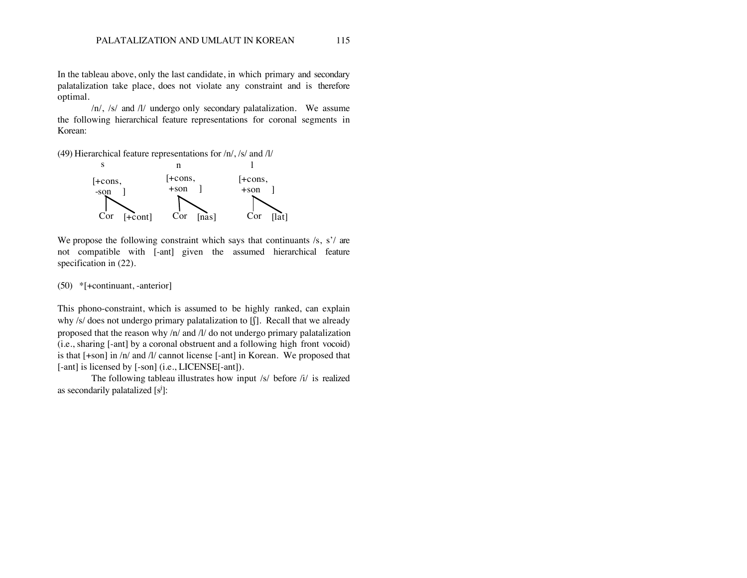In the tableau above, only the last candidate, in which primary and secondary palatalization take place, does not violate any constraint and is therefore optimal.

/n/, /s/ and /l/ undergo only secondary palatalization. We assume the following hierarchical feature representations for coronal segments in Korean:

(49) Hierarchical feature representations for /n/, /s/ and /l/



We propose the following constraint which says that continuants /s, s'/ are not compatible with [-ant] given the assumed hierarchical feature specification in (22).

(50) \*[+continuant, -anterior]

This phono-constraint, which is assumed to be highly ranked, can explain why /s/ does not undergo primary palatalization to [f]. Recall that we already proposed that the reason why /n/ and /l/ do not undergo primary palatalization (i.e., sharing [-ant] by a coronal obstruent and a following high front vocoid) is that [+son] in /n/ and /l/ cannot license [-ant] in Korean. We proposed that [-ant] is licensed by [-son] (i.e., LICENSE[-ant]).

The following tableau illustrates how input /s/ before /i/ is realized as secondarily palatalized  $[s^j]$ :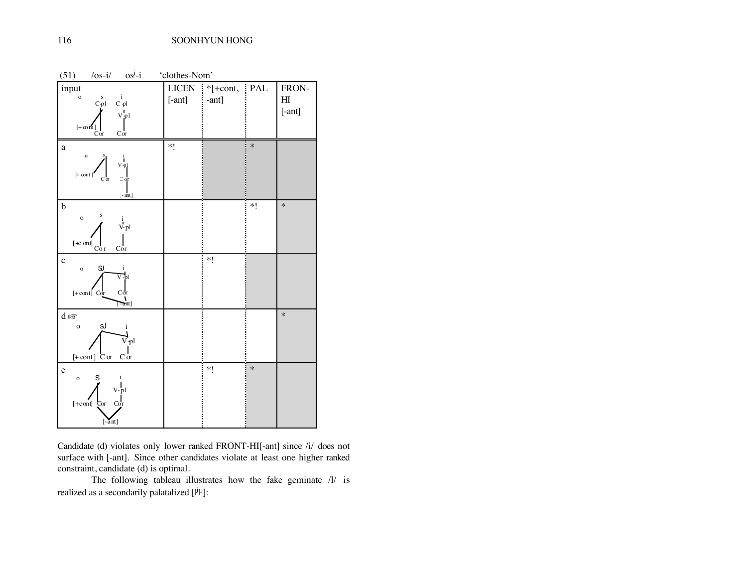| (51)<br>$\sqrt{os-i/}$<br>$os^j - i$                                                                                                                  | 'clothes-Nom'     |                               |        |                                   |
|-------------------------------------------------------------------------------------------------------------------------------------------------------|-------------------|-------------------------------|--------|-----------------------------------|
| input<br>$\circ$<br>$\mathbf{i}$<br>$C_{p1}^s$<br>$C$ -pl<br>$V_{\mathbf{p}}$ l<br>$[+\infty$ nt]<br>Cor<br>$\rm Cor$                                 | LICEN<br>$[-ant]$ | $*$ [+cont, $ $ PAL<br>[-ant] |        | FRON-<br>H <sub>I</sub><br>[-ant] |
| a<br>$\mathbf{o}$<br>$\mathbf{i}$<br>V <sub>pl</sub><br>$[+ \text{ cont}]$<br>$\mathbb C$ or<br>$C\sigma$<br>$[-ant]$                                 | $*!$              |                               | $\ast$ |                                   |
| $\mathbf b$<br>S<br>$\circ$<br>$\stackrel{i}{\rm V\hskip-0.25em V\hskip-0.25em V\hskip-0.25em\relax}{}$<br>$[+c \text{ on } t]$ <sub>Cor</sub><br>Cor |                   |                               | $*$ (  | $\ast$                            |
| $\mathbf c$<br>SJ<br>$\mathbf{i}$<br>$\mathbf{o}$<br>$\overline{V}$ -pl<br>Cor<br>$[-\text{cont}]$ Cor<br>$[ -ant]$                                   |                   | $*1$                          |        |                                   |
| $d \mathbb{R}$<br>sJ<br>$\mathbf{o}$<br>i<br>$\vec{V}$ pl<br>$[+ \text{cont}]$ $C \text{ or }$<br>$C \sigma$                                          |                   |                               |        | $\ast$                            |
| $\mathbf e$<br>S<br>i<br>$\mathbf{o}$<br>$V$ -pl<br>$[-c \text{ on } t]$<br>Cor<br>Cor<br>$[-\overline{a}nt]$                                         |                   | $*1$                          | $\ast$ |                                   |

Candidate (d) violates only lower ranked FRONT-HI[-ant] since /i/ does not surface with [-ant]. Since other candidates violate at least one higher ranked constraint, candidate (d) is optimal.

The following tableau illustrates how the fake geminate /l/ is realized as a secondarily palatalized  $[1^{j}1^{j}]$ :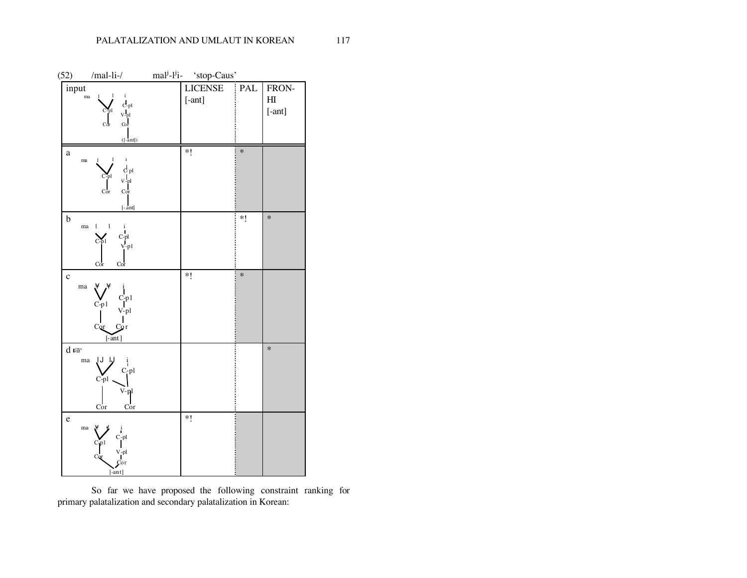

So far we have proposed the following constraint ranking for primary palatalization and secondary palatalization in Korean: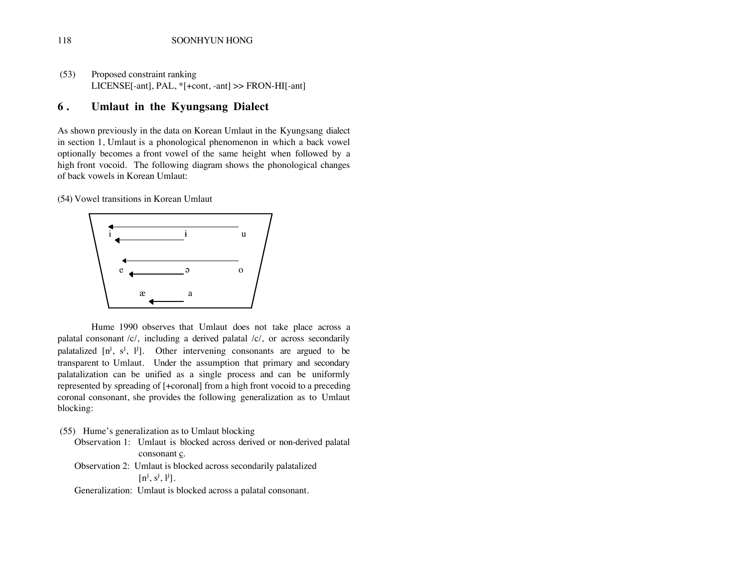(53) Proposed constraint ranking LICENSE[-ant], PAL, \*[+cont, -ant] >> FRON-HI[-ant]

#### **6 . Umlaut in the Kyungsang Dialect**

As shown previously in the data on Korean Umlaut in the Kyungsang dialect in section 1, Umlaut is a phonological phenomenon in which a back vowel optionally becomes a front vowel of the same height when followed by a high front vocoid. The following diagram shows the phonological changes of back vowels in Korean Umlaut:

(54) Vowel transitions in Korean Umlaut



Hume 1990 observes that Umlaut does not take place across a palatal consonant /c/, including a derived palatal /c/, or across secondarily palatalized  $[n^j, s^j, l^j]$ . Other intervening consonants are argued to be transparent to Umlaut. Under the assumption that primary and secondary palatalization can be unified as a single process and can be uniformly represented by spreading of [+coronal] from a high front vocoid to a preceding coronal consonant, she provides the following generalization as to Umlaut blocking:

(55) Hume's generalization as to Umlaut blocking

Observation 1: Umlaut is blocked across derived or non-derived palatal consonant c.

Observation 2: Umlaut is blocked across secondarily palatalized  $[n^j, s^j, l^j]$ .

Generalization: Umlaut is blocked across a palatal consonant.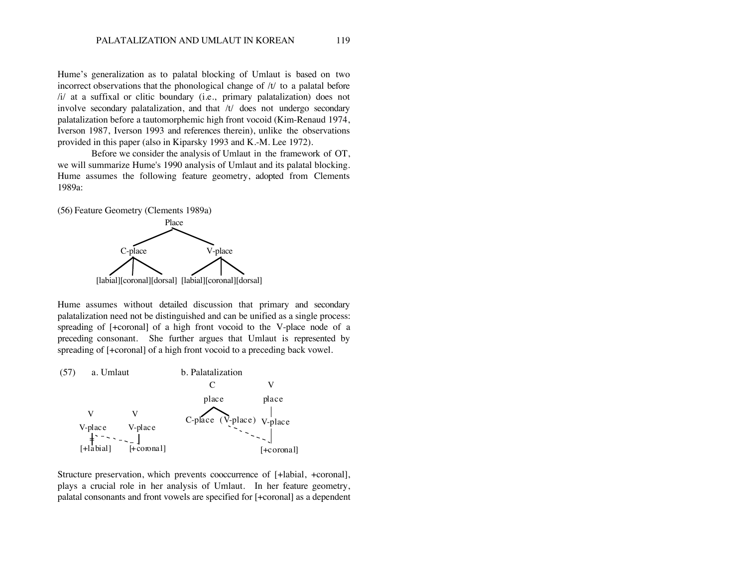Hume's generalization as to palatal blocking of Umlaut is based on two incorrect observations that the phonological change of /t/ to a palatal before /i/ at a suffixal or clitic boundary (i.e., primary palatalization) does not involve secondary palatalization, and that /t/ does not undergo secondary palatalization before a tautomorphemic high front vocoid (Kim-Renaud 1974, Iverson 1987, Iverson 1993 and references therein), unlike the observations provided in this paper (also in Kiparsky 1993 and K.-M. Lee 1972).

Before we consider the analysis of Umlaut in the framework of OT, we will summarize Hume's 1990 analysis of Umlaut and its palatal blocking. Hume assumes the following feature geometry, adopted from Clements 1989a:

(56) Feature Geometry (Clements 1989a)



Hume assumes without detailed discussion that primary and secondary palatalization need not be distinguished and can be unified as a single process: spreading of [+coronal] of a high front vocoid to the V-place node of a preceding consonant. She further argues that Umlaut is represented by spreading of [+coronal] of a high front vocoid to a preceding back vowel.



Structure preservation, which prevents cooccurrence of [+labial, +coronal], plays a crucial role in her analysis of Umlaut. In her feature geometry, palatal consonants and front vowels are specified for [+coronal] as a dependent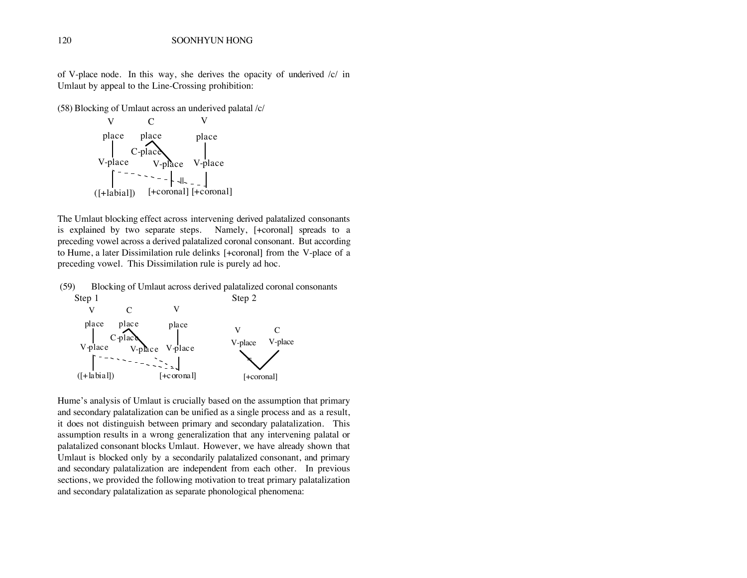of V-place node. In this way, she derives the opacity of underived /c/ in Umlaut by appeal to the Line-Crossing prohibition:

(58) Blocking of Umlaut across an underived palatal /c/



The Umlaut blocking effect across intervening derived palatalized consonants is explained by two separate steps. Namely, [+coronal] spreads to a preceding vowel across a derived palatalized coronal consonant. But according to Hume, a later Dissimilation rule delinks [+coronal] from the V-place of a preceding vowel. This Dissimilation rule is purely ad hoc.

(59) Blocking of Umlaut across derived palatalized coronal consonants



Hume's analysis of Umlaut is crucially based on the assumption that primary and secondary palatalization can be unified as a single process and as a result, it does not distinguish between primary and secondary palatalization. This assumption results in a wrong generalization that any intervening palatal or palatalized consonant blocks Umlaut. However, we have already shown that Umlaut is blocked only by a secondarily palatalized consonant, and primary and secondary palatalization are independent from each other. In previous sections, we provided the following motivation to treat primary palatalization and secondary palatalization as separate phonological phenomena: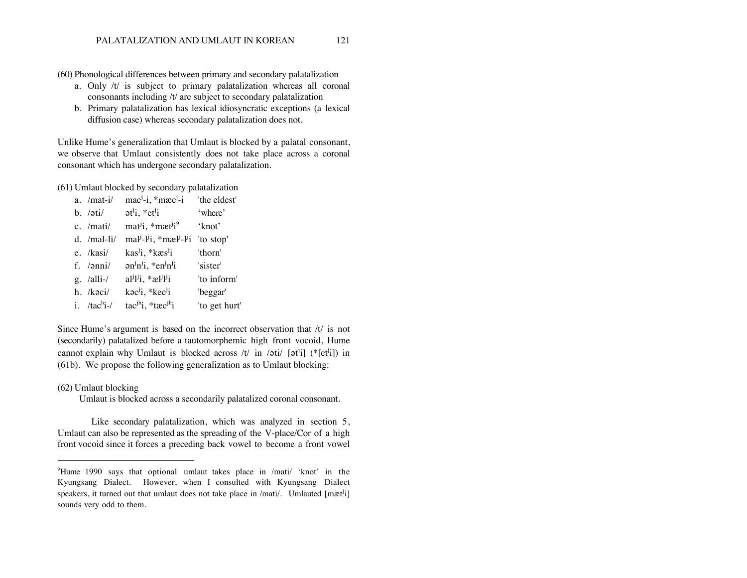- (60) Phonological differences between primary and secondary palatalization
	- a. Only /t/ is subject to primary palatalization whereas all coronal consonants including /t/ are subject to secondary palatalization
	- b. Primary palatalization has lexical idiosyncratic exceptions (a lexical diffusion case) whereas secondary palatalization does not.

Unlike Hume's generalization that Umlaut is blocked by a palatal consonant, we observe that Umlaut consistently does not take place across a coronal consonant which has undergone secondary palatalization.

(61) Umlaut blocked by secondary palatalization

| a. $/mat-i/$                                             | $macJ - i$ , * $macJ - i$                                                                               | 'the eldest'  |
|----------------------------------------------------------|---------------------------------------------------------------------------------------------------------|---------------|
| b. $\overline{ot}i$ at $\overline{i}$ , $\overline{et}i$ |                                                                                                         | 'where'       |
| c. /mati/                                                | $mat^{j}i$ , * $mat^{j}i^{9}$                                                                           | 'knot'        |
| d. $/$ mal-li $/$                                        | mal <sup>j</sup> -l <sup>j</sup> i, *mæl <sup>j</sup> -l <sup>j</sup> i                                 | 'to stop'     |
| e. /kasi/                                                | kas <sup>j</sup> i, *kæs <sup>j</sup> i                                                                 | 'thorn'       |
| f. $/anni/$                                              | $\partial n^j n^j i$ , *en $^j n^j i$                                                                   | 'sister'      |
| $g.$ /alli-/                                             | $a^{\mathrm{j}}\mathrm{i}^{\mathrm{j}}\mathrm{i}$ , * $a^{\mathrm{j}}\mathrm{i}^{\mathrm{j}}\mathrm{i}$ | 'to inform'   |
| h. /kəci/                                                | kac <sup>j</sup> i, *kec <sup>j</sup> i                                                                 | 'beggar'      |
| i. $/$ tac <sup>h</sup> i- $/$                           | $\text{tac}^{\text{jh}}\text{i}$ , * $\text{tac}^{\text{jh}}\text{i}$                                   | 'to get hurt' |

Since Hume's argument is based on the incorrect observation that /t/ is not (secondarily) palatalized before a tautomorphemic high front vocoid, Hume cannot explain why Umlaut is blocked across  $/t /$  in  $/\pi i / [\pi t^i]$  (\*[et<sup>i</sup>i]) in (61b). We propose the following generalization as to Umlaut blocking:

#### (62) Umlaut blocking

 $\overline{a}$ 

Umlaut is blocked across a secondarily palatalized coronal consonant.

Like secondary palatalization, which was analyzed in section 5, Umlaut can also be represented as the spreading of the V-place/Cor of a high front vocoid since it forces a preceding back vowel to become a front vowel

<sup>9</sup> Hume 1990 says that optional umlaut takes place in /mati/ 'knot' in the Kyungsang Dialect. However, when I consulted with Kyungsang Dialect speakers, it turned out that umlaut does not take place in /mati/. Umlauted [mæt<sup>j</sup>i] sounds very odd to them.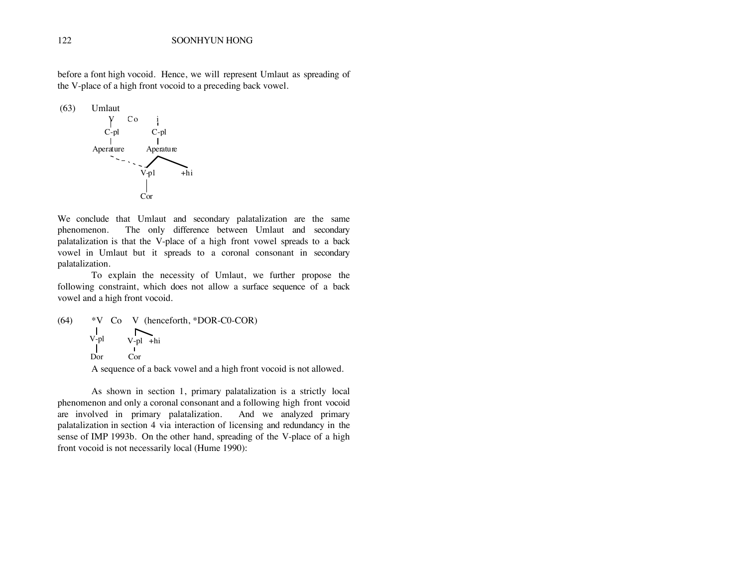before a font high vocoid. Hence, we will represent Umlaut as spreading of the V-place of a high front vocoid to a preceding back vowel.



We conclude that Umlaut and secondary palatalization are the same phenomenon. The only difference between Umlaut and secondary palatalization is that the V-place of a high front vowel spreads to a back vowel in Umlaut but it spreads to a coronal consonant in secondary palatalization.

To explain the necessity of Umlaut, we further propose the following constraint, which does not allow a surface sequence of a back vowel and a high front vocoid.

```
(64) *V Co V (henceforth, *DOR-C0-COR)
                     \overline{\phantom{0}}V-pl
                   V-pl
+hi
        Dor 
                   Cor
```
A sequence of a back vowel and a high front vocoid is not allowed.

As shown in section 1, primary palatalization is a strictly local phenomenon and only a coronal consonant and a following high front vocoid are involved in primary palatalization. And we analyzed primary palatalization in section 4 via interaction of licensing and redundancy in the sense of IMP 1993b. On the other hand, spreading of the V-place of a high front vocoid is not necessarily local (Hume 1990):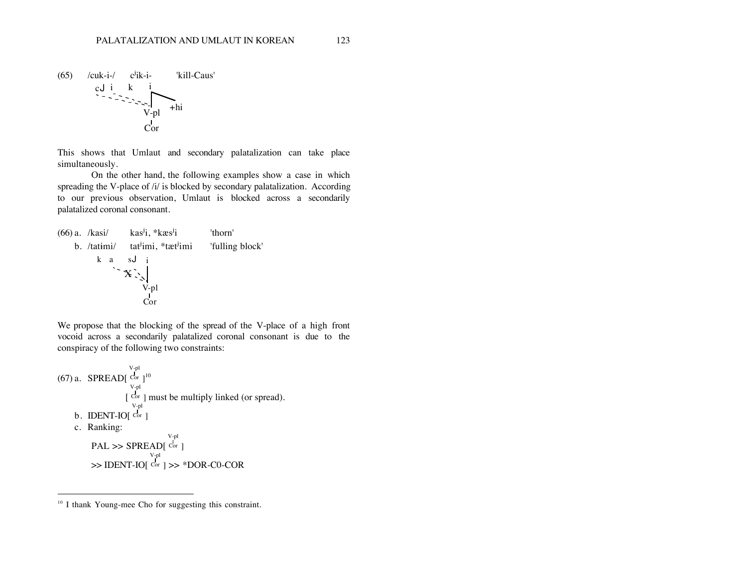

This shows that Umlaut and secondary palatalization can take place simultaneously.

On the other hand, the following examples show a case in which spreading the V-place of /i/ is blocked by secondary palatalization. According to our previous observation, Umlaut is blocked across a secondarily palatalized coronal consonant.



We propose that the blocking of the spread of the V-place of a high front vocoid across a secondarily palatalized coronal consonant is due to the conspiracy of the following two constraints:

```
(67) a. SPREAD[
                   V-pl
                   Cor ]^{10}[
                   V-pl
                    Cor ] must be multiply linked (or spread).
    b. IDENT-IO[
                    V-pl
                    Cor ]
   c. Ranking:
         PAL >> SPREAD[
                              V-pl
                              Cor ]
         >> IDENT-IO[
                         V-pl
                         Cor] >> *DOR-C0-COR
```
 $\overline{a}$ 

<sup>&</sup>lt;sup>10</sup> I thank Young-mee Cho for suggesting this constraint.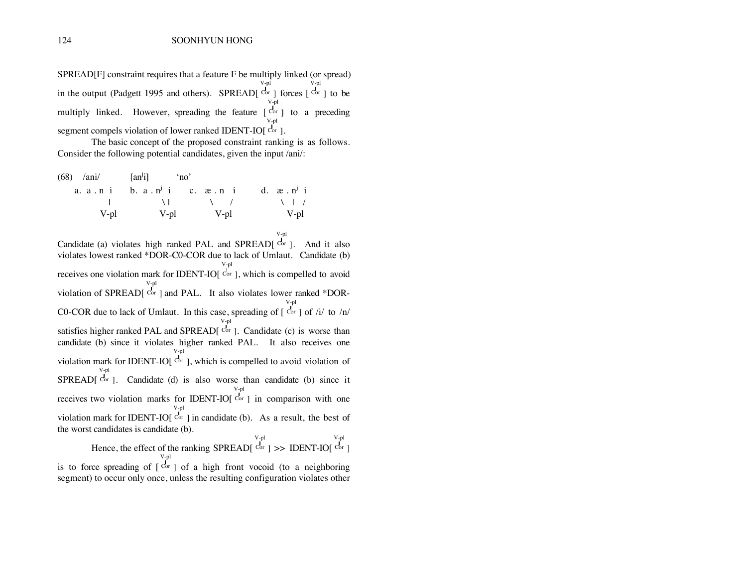SPREAD[F] constraint requires that a feature F be multiply linked (or spread) in the output (Padgett 1995 and others). SPREAD[ V-pl Cor ] forces [ V-pl Cor ] to be multiply linked. However, spreading the feature  $[Cor]$  to a preceding V-pl segment compels violation of lower ranked IDENT-IO[<sup>Cor</sup>]. V-pl

The basic concept of the proposed constraint ranking is as follows. Consider the following potential candidates, given the input /ani/:

| $(68)$ /ani/ $\left[$ an <sup>y</sup> i] 'no' |      |                                                                    |                                                                         |
|-----------------------------------------------|------|--------------------------------------------------------------------|-------------------------------------------------------------------------|
|                                               |      |                                                                    | a. $a \cdot n$ i b. $a \cdot n^j$ i c. $x \cdot n$ i d. $x \cdot n^j$ i |
|                                               |      | $\begin{array}{ccccccccccccccccc}\n1 & 1 & 1 & 1 & 1\n\end{array}$ | $\lambda$ $\lambda$                                                     |
| V-pl                                          | V-pl | V-pl                                                               | V-pl                                                                    |

Candidate (a) violates high ranked PAL and SPREAD[ V-pl Cor ]. And it also violates lowest ranked \*DOR-C0-COR due to lack of Umlaut. Candidate (b) receives one violation mark for IDENT-IO[ V-pl Cor ], which is compelled to avoid violation of SPREAD[ V-pl Cor ] and PAL. It also violates lower ranked \*DOR-C0-COR due to lack of Umlaut. In this case, spreading of [ V-pl Cor ] of  $/i/$  to  $/n/$ satisfies higher ranked PAL and SPREAD[ V-pl  $Cor$ ]. Candidate (c) is worse than candidate (b) since it violates higher ranked PAL. It also receives one violation mark for IDENT-IO[ V-pl Cor ], which is compelled to avoid violation of SPREAD[ V-pl  $Cor$  ]. Candidate (d) is also worse than candidate (b) since it receives two violation marks for IDENT-IO[ V-pl Cor ] in comparison with one violation mark for IDENT-IO[ V-pl  $Cor$  ] in candidate (b). As a result, the best of the worst candidates is candidate (b). Hence, the effect of the ranking SPREAD[ V-pl  $Cor$  ] >> IDENT-IO[ V-pl Cor ] V-pl

is to force spreading of [ Cor ] of a high front vocoid (to a neighboring segment) to occur only once, unless the resulting configuration violates other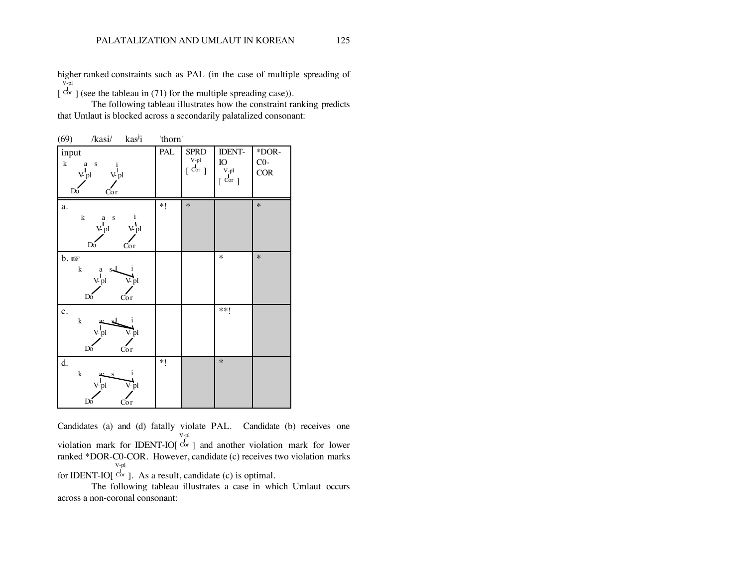higher ranked constraints such as PAL (in the case of multiple spreading of [ V-pl  $\text{Cor }$  ] (see the tableau in (71) for the multiple spreading case)).

The following tableau illustrates how the constraint ranking predicts that Umlaut is blocked across a secondarily palatalized consonant:

| (69)<br>/kasi/<br>kas <sup>j</sup> i                                                               | 'thorn' |                                                                         |                                                         |                                |
|----------------------------------------------------------------------------------------------------|---------|-------------------------------------------------------------------------|---------------------------------------------------------|--------------------------------|
| input<br>$\bf k$<br>$a \quad s$<br>$\bf{1}$<br>$V_{pl}$<br>V <sub>pl</sub><br>Cor<br>Do            | PAL     | <b>SPRD</b><br>$\begin{array}{c} \text{V-pl} \\ \text{Cor} \end{array}$ | <b>IDENT-</b><br>${\rm IO}$<br>V-pl<br>$[\mathrm{Cor}]$ | $*DOR-$<br>$C0-$<br><b>COR</b> |
| a.<br>$\mathbf k$<br>i<br>a s<br>$V_{pl}$<br>V pl<br>$Do^{\prime}$<br>Cor                          | *!      | $\ast$                                                                  |                                                         | $\ast$                         |
| $b.$ $\mathbb{R}$<br>k<br>i<br>$\mathbf{a}$<br>$S_{\rm m}$<br>V pl<br>V pl<br>$Do^{\prime}$<br>Cor |         |                                                                         | $\ast$                                                  | $\ast$                         |
| $\mathbf{c}$ .<br>$\mathbf k$<br>1<br>${\bf v}$ pl<br>V pl<br>$Do^{\prime}$<br>Cor                 |         |                                                                         | $***!$                                                  |                                |
| d.<br>i<br>${\bf k}$<br>-S<br>${\bf v}$ pl<br>V pl<br>Dó<br>Cor                                    | *!      |                                                                         | $\ast$                                                  |                                |

Candidates (a) and (d) fatally violate PAL. Candidate (b) receives one violation mark for IDENT-IO[ V-pl Cor ] and another violation mark for lower ranked \*DOR-C0-COR. However, candidate (c) receives two violation marks for IDENT-IO[ V-pl  $Cor$  ]. As a result, candidate (c) is optimal.

The following tableau illustrates a case in which Umlaut occurs across a non-coronal consonant: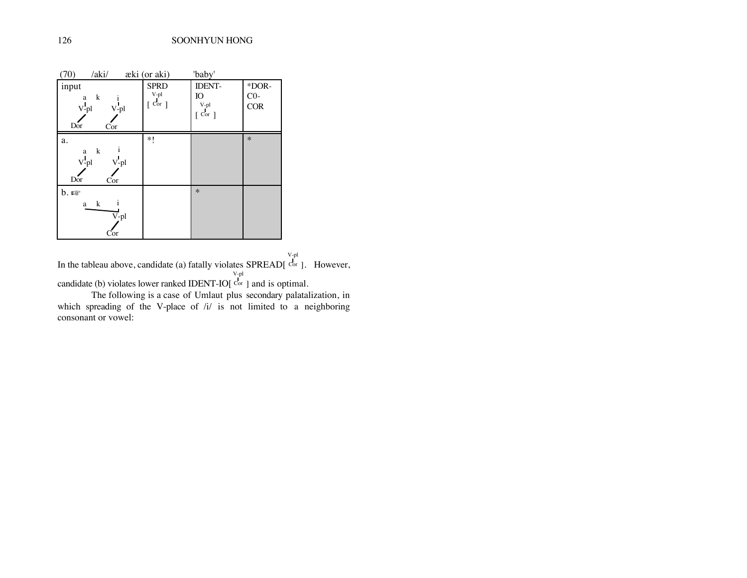| 70)<br>/aki/     | æki (or aki)          | 'baby'                |            |
|------------------|-----------------------|-----------------------|------------|
| input            | <b>SPRD</b>           | <b>IDENT-</b>         | *DOR-      |
| k<br>a           | V-pl                  | IO                    | $CO-$      |
| $V-pl$<br>$V-pl$ | $\lceil$ Cor $\rceil$ | V-pl                  | <b>COR</b> |
| Dor<br>Cor       |                       | $\lceil$ Cor $\rceil$ |            |
| a.               | *1                    |                       | $\ast$     |
| k<br>a           |                       |                       |            |
| $V-pl$<br>V-pl   |                       |                       |            |
| Dor<br>Cor       |                       |                       |            |
| b.               |                       | $\ast$                |            |
| k<br>a           |                       |                       |            |
| V-pl             |                       |                       |            |
| Cor              |                       |                       |            |

In the tableau above, candidate (a) fatally violates SPREAD[ V-pl Cor ]. However, candidate (b) violates lower ranked IDENT-IO[ V-pl Cor ] and is optimal.

The following is a case of Umlaut plus secondary palatalization, in which spreading of the V-place of  $/i$  is not limited to a neighboring consonant or vowel: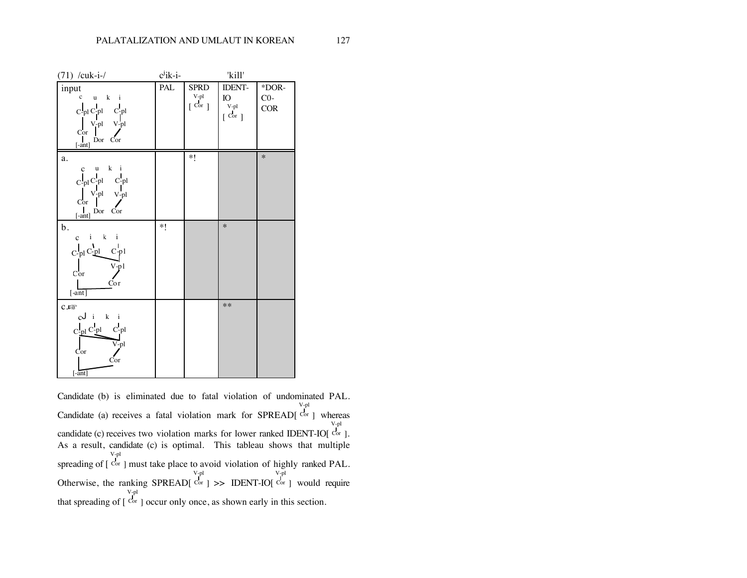| $(71)$ /cuk-i-/                                                                                                                                                                                                                                                                                                   | $cj$ ik-i- |                                                                  | 'kill'                              |                       |
|-------------------------------------------------------------------------------------------------------------------------------------------------------------------------------------------------------------------------------------------------------------------------------------------------------------------|------------|------------------------------------------------------------------|-------------------------------------|-----------------------|
| input<br>$c \quad u \quad k \quad i$<br>$\begin{array}{ccc} C\text{-}\mathrm{pl} & C\text{-}\mathrm{pl} & C\text{-}\mathrm{pl} \end{array}$<br>$\begin{bmatrix} V-pl & V-pl \\ \text{Cor} & V \end{bmatrix}$<br>Cor<br>$\begin{bmatrix} \mathsf{I} & \mathsf{I} \\ \mathsf{I} & \mathsf{I} \end{bmatrix}$ Dor Cor | PAL        | <b>SPRD</b><br>$_{\rm V\mbox{-}pl}^{\rm V\mbox{-}pl}$<br>[ Cor ] | IDENT-<br>IO<br>V-pl<br>$[$ Cor $]$ | *DOR-<br>$CO-$<br>COR |
| a.<br>$c$ $u$ $k$ $i$<br>$\begin{bmatrix} \mathbf{I}_{\text{pl}} \, \mathbf{C}_{\text{pl}}^{\text{I}} & \mathbf{C}_{\text{pl}}^{\text{I}} \\ \mathbf{V}_{\text{pl}}^{\text{I}} & \mathbf{V}_{\text{pl}}^{\text{I}} \\ \text{Cor} & \end{bmatrix}$<br>$[ -ant]$ Dor Cor                                            |            | *1                                                               |                                     | $\ast$                |
| b.<br>$c$ iki<br>$\begin{array}{ccc}\nC^1_{\text{pl}} & C^1_{\text{pl}} & C^1_{\text{pl}} \\ \downarrow & & \downarrow & \downarrow \\ \text{Cor} & & & \downarrow & \downarrow\n\end{array}$<br>Cor<br>[ant]                                                                                                     | $*!$       |                                                                  | $\ast$                              |                       |
| $C.E\otimes$<br>$cJ$ i $k$ i<br>$C$ -pl $C$ -pl $C$ -pl<br>$V$ -pl<br>Cor<br>Cor<br>$[ -ant]$                                                                                                                                                                                                                     |            |                                                                  | $**$                                |                       |

Candidate (b) is eliminated due to fatal violation of undominated PAL. Candidate (a) receives a fatal violation mark for SPREAD[ V-pl Cor ] whereas candidate (c) receives two violation marks for lower ranked IDENT-IO[ V-pl  $Cor$ ]. As a result, candidate (c) is optimal. This tableau shows that multiple spreading of [ V-pl Cor ] must take place to avoid violation of highly ranked PAL. V-pl V-pl

Otherwise, the ranking SPREAD[  $Cor$  ] >> IDENT-IO[ Cor ] would require that spreading of [ V-pl Cor ] occur only once, as shown early in this section.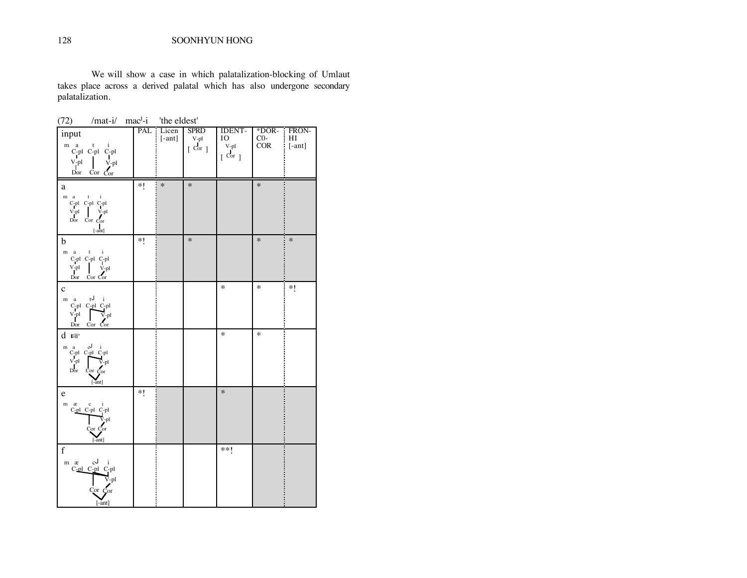128 SOONHYUN HONG

We will show a case in which palatalization-blocking of Umlaut takes place across a derived palatal which has also undergone secondary palatalization.

 $(72)$  /mat-i/ mac<sup>j</sup>-i 'the eldest'

| input                                                                                                                                                                                                                                                                                                                                                                                                                                                                                                                                                                                                                                                                                                                                                                                                                                                                                                       | PAL      | Licen<br>$[-ant]$ | <b>SPRD</b><br>V-pl              | <b>IDENT-</b><br>IO                      |                                                                                          | FRON-       |
|-------------------------------------------------------------------------------------------------------------------------------------------------------------------------------------------------------------------------------------------------------------------------------------------------------------------------------------------------------------------------------------------------------------------------------------------------------------------------------------------------------------------------------------------------------------------------------------------------------------------------------------------------------------------------------------------------------------------------------------------------------------------------------------------------------------------------------------------------------------------------------------------------------------|----------|-------------------|----------------------------------|------------------------------------------|------------------------------------------------------------------------------------------|-------------|
| m a<br>$\overset{a}{C}\underset{I}{\text{pl}}\ \overset{t}{C}\underset{I}{\text{pl}}\ \overset{i}{C}\underset{I}{\text{pl}}$<br>$V$ -pl<br>V-pl<br>Dor $Cor$ $Cor$                                                                                                                                                                                                                                                                                                                                                                                                                                                                                                                                                                                                                                                                                                                                          |          |                   | $\overline{c}$ or $\overline{c}$ | V-pl<br>$\overline{C}$ or $\overline{C}$ | $\begin{bmatrix} \overline{P} \overline{O} & H \\ \overline{O} & H \end{bmatrix}$ [-ant] |             |
| a                                                                                                                                                                                                                                                                                                                                                                                                                                                                                                                                                                                                                                                                                                                                                                                                                                                                                                           | $\ast$ ( | $\ast$            | $\ast$                           |                                          | $\ast$                                                                                   |             |
| m a<br>t<br>$\mathbf{i}$<br>$\mathbf{C}\text{-}\mathbf{p} \mathbf{l}$ $\mathbf{C}\text{-}\mathbf{p} \mathbf{l}$ $\mathbf{C}\text{-}\mathbf{p} \mathbf{l}$<br>$\begin{tabular}{c} V-pl \\ Dor \\ Cor \\ \end{tabular} \begin{tabular}{c} V-pl \\ Cor \\ Cor \\ \end{tabular}$<br>$[ -ant] % \begin{minipage}[b]{0.5\linewidth} \centering \centerline{\includegraphics[width=0.5\linewidth]{images/STN100020.jpg}} \centerline{\includegraphics[width=0.5\linewidth]{images/STN100020.jpg}} \centerline{\includegraphics[width=0.5\linewidth]{images/STN100020.jpg}} \centerline{\includegraphics[width=0.5\linewidth]{images/STN100020.jpg}} \centerline{\includegraphics[width=0.5\linewidth]{images/STN100020.jpg}} \centerline{\includegraphics[width=0.5\linewidth]{images/STN100020.jpg}} \centerline{\includegraphics[width=0.5\linewidth]{images/STN100020.jpg}} \centerline{\includegraphics[width$ |          |                   |                                  |                                          |                                                                                          |             |
| b                                                                                                                                                                                                                                                                                                                                                                                                                                                                                                                                                                                                                                                                                                                                                                                                                                                                                                           | *1       |                   | $\ast$                           |                                          | $\ast$                                                                                   | Ξ<br>$\ast$ |
| $m$ a t<br>$\mathbf{i}$<br>C-pl C-pl C-pl<br>V-pl V-pl<br>V-pl<br>Dor Cor Cor                                                                                                                                                                                                                                                                                                                                                                                                                                                                                                                                                                                                                                                                                                                                                                                                                               |          |                   |                                  |                                          |                                                                                          |             |
| $\mathbf c$                                                                                                                                                                                                                                                                                                                                                                                                                                                                                                                                                                                                                                                                                                                                                                                                                                                                                                 |          |                   |                                  | $\ast$                                   | $\ast$                                                                                   | $*$ (       |
| tJ i<br>m a<br>C-pl C-pl C-pl<br>$V$ -pl<br>$V$ -pl<br>$Cor$ $Cor$<br>$\operatorname{Dor}$                                                                                                                                                                                                                                                                                                                                                                                                                                                                                                                                                                                                                                                                                                                                                                                                                  |          |                   |                                  |                                          |                                                                                          |             |
| d rङ                                                                                                                                                                                                                                                                                                                                                                                                                                                                                                                                                                                                                                                                                                                                                                                                                                                                                                        |          |                   |                                  | $\ast$                                   | $\ast$                                                                                   |             |
| $\mathbf{m}$ a<br>$\begin{array}{cc} \begin{array}{cc} a & \omega & i \\ C\text{-pl} & C\text{-pl} & C\text{-pl} \\ V\text{-pl} & V\text{-pl} & V\text{-pl} \\ \text{Dor} & C\text{or} & \end{array} \end{array}$<br>[–ant]                                                                                                                                                                                                                                                                                                                                                                                                                                                                                                                                                                                                                                                                                 |          |                   |                                  |                                          |                                                                                          |             |
| $\mathbf e$                                                                                                                                                                                                                                                                                                                                                                                                                                                                                                                                                                                                                                                                                                                                                                                                                                                                                                 | *1       |                   |                                  | $\ast$                                   |                                                                                          |             |
| $m$ $x$<br>æci<br>C-pl C-pl C-pl<br>$\nabla$ -pl<br>Cor Cor<br>$[-ant]$                                                                                                                                                                                                                                                                                                                                                                                                                                                                                                                                                                                                                                                                                                                                                                                                                                     |          |                   |                                  |                                          |                                                                                          |             |
| $\mathbf f$                                                                                                                                                                                                                                                                                                                                                                                                                                                                                                                                                                                                                                                                                                                                                                                                                                                                                                 |          |                   |                                  | **!                                      |                                                                                          |             |
| $m \times cJ$ i<br>C-pl C-pl C-pl<br>$\bar{V}_{\cdot}$ pl<br>Cor Cor<br>$[ -ant]$                                                                                                                                                                                                                                                                                                                                                                                                                                                                                                                                                                                                                                                                                                                                                                                                                           |          |                   |                                  |                                          |                                                                                          |             |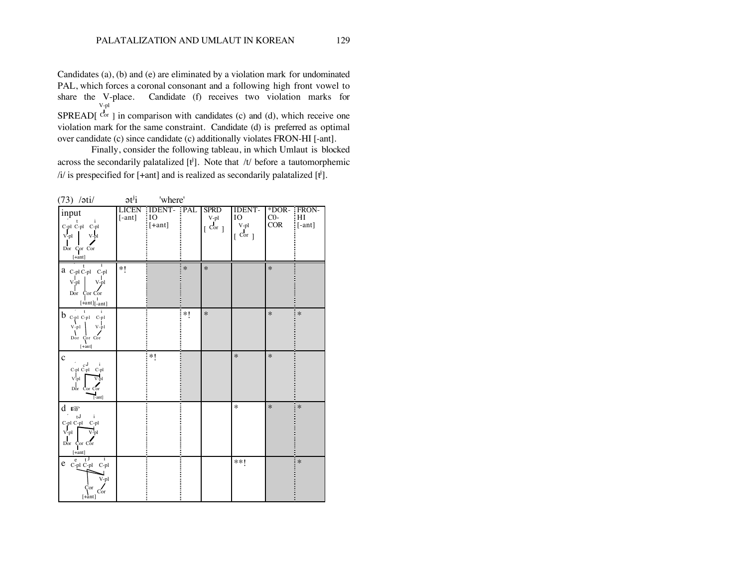Candidates (a), (b) and (e) are eliminated by a violation mark for undominated PAL, which forces a coronal consonant and a following high front vowel to share the V-place. Candidate (f) receives two violation marks for SPREAD[ V-pl  $\text{Cor }$  ] in comparison with candidates (c) and (d), which receive one violation mark for the same constraint. Candidate (d) is preferred as optimal

over candidate (c) since candidate (c) additionally violates FRON-HI [-ant].

Finally, consider the following tableau, in which Umlaut is blocked across the secondarily palatalized  $[t^i]$ . Note that /t/ before a tautomorphemic /i/ is prespecified for [+ant] and is realized as secondarily palatalized  $[\mathbf{t}^i]$ .

| (73) /ati/                                                                                                                                                                                                | $e^{i j}$         | 'where'                          |        |                                   |                                                           |                               |                    |
|-----------------------------------------------------------------------------------------------------------------------------------------------------------------------------------------------------------|-------------------|----------------------------------|--------|-----------------------------------|-----------------------------------------------------------|-------------------------------|--------------------|
| input<br>$\mathbf{i}$<br>$-t$<br>$\mathbf{C}\text{-}\mathbf{p}\mathbf{l}$ $\mathbf{C}\text{-}\mathbf{p}\mathbf{l}$ $\mathbf{C}\text{-}\mathbf{p}\mathbf{l}$<br>V-pl<br>$V$ -pl<br>Dor Cor Cor<br>$[+ant]$ | LICEN<br>$[-ant]$ | :IDENT- :PAL<br>iю<br>$ [+ant] $ |        | <b>SPRD</b><br>$V$ -pl<br>[ Cor ] | <b>IDENT-</b><br>IO<br>V-pl<br>$\lceil \text{Cor} \rceil$ | *DOR- : FRON-<br>$CO-$<br>COR | i HI<br>$ $ [-ant] |
| $a_{C-pl C-pl C-pl}$<br>$V$ -pl<br>V-pl<br>Dor Cor Cor<br>$[+ant]$ <sub>[-ant]</sub>                                                                                                                      | $*!$              |                                  | $\ast$ | $\ast$                            |                                                           | $\ast$                        |                    |
| $-t$<br>$\mathbf{i}$<br>$b_{\rm c\,pl\,C\,pl\,C\,pl}$<br>$V$ -pl<br>$V-p1$<br>Dor Cor Cor<br>$[+an t]$                                                                                                    |                   |                                  | *1     | $\ast$                            |                                                           | $\ast$                        | $\ast$             |
| $\mathbf c$<br>$_{\rm c}$ J<br>$\mathbf{i}$<br>C-pl C-pl C-pl<br>V-pl<br>Dor $Cor$ Cor $\overline{Cor}$<br>$[ -ant]$                                                                                      |                   | *1                               |        |                                   | $\ast$                                                    | $\ast$                        |                    |
| dnsr<br>$L_{\rm J}$<br>$\mathbf{i}$<br>C-pl C-pl C-pl<br>$V$ -pl<br>V-pl<br>$\mathbf{I}$<br>Dor Cor Cor<br>$[+ant]$                                                                                       |                   |                                  |        |                                   | $\ast$                                                    | $\ast$                        | $\ast$             |
| $_{t}$ J<br>ī<br>$\mathbf{e}$<br>$e_{C-pl C-pl C-pl}$<br>V-pl<br>Cor<br>Cor<br>$[+ \n{ant}]$                                                                                                              |                   |                                  |        |                                   | **!                                                       |                               | $*$                |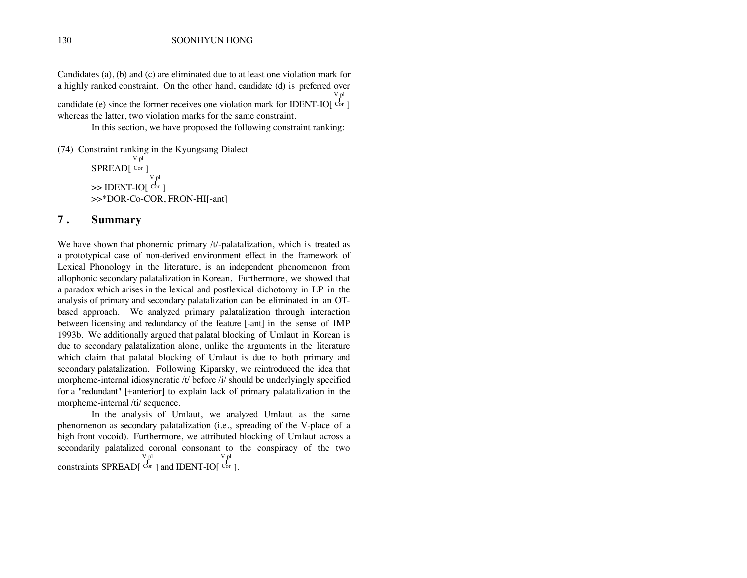Candidates (a), (b) and (c) are eliminated due to at least one violation mark for a highly ranked constraint. On the other hand, candidate (d) is preferred over V-pl

candidate (e) since the former receives one violation mark for IDENT-IO  $[{\rm Cor}]$ whereas the latter, two violation marks for the same constraint.

In this section, we have proposed the following constraint ranking:

(74) Constraint ranking in the Kyungsang Dialect SPREAD[ V-pl Cor ]  $\gg$  IDENT-IO[ Cor ] V-pl >>\*DOR-Co-COR, FRON-HI[-ant]

#### **7 . Summary**

We have shown that phonemic primary /t/-palatalization, which is treated as a prototypical case of non-derived environment effect in the framework of Lexical Phonology in the literature, is an independent phenomenon from allophonic secondary palatalization in Korean. Furthermore, we showed that a paradox which arises in the lexical and postlexical dichotomy in LP in the analysis of primary and secondary palatalization can be eliminated in an OTbased approach. We analyzed primary palatalization through interaction between licensing and redundancy of the feature [-ant] in the sense of IMP 1993b. We additionally argued that palatal blocking of Umlaut in Korean is due to secondary palatalization alone, unlike the arguments in the literature which claim that palatal blocking of Umlaut is due to both primary and secondary palatalization. Following Kiparsky, we reintroduced the idea that morpheme-internal idiosyncratic /t/ before /i/ should be underlyingly specified for a "redundant" [+anterior] to explain lack of primary palatalization in the morpheme-internal /ti/ sequence.

In the analysis of Umlaut, we analyzed Umlaut as the same phenomenon as secondary palatalization (i.e., spreading of the V-place of a high front vocoid). Furthermore, we attributed blocking of Umlaut across a secondarily palatalized coronal consonant to the conspiracy of the two constraints SPREAD[ V-pl Cor ] and IDENT-IO[ V-pl  $Cor$ ].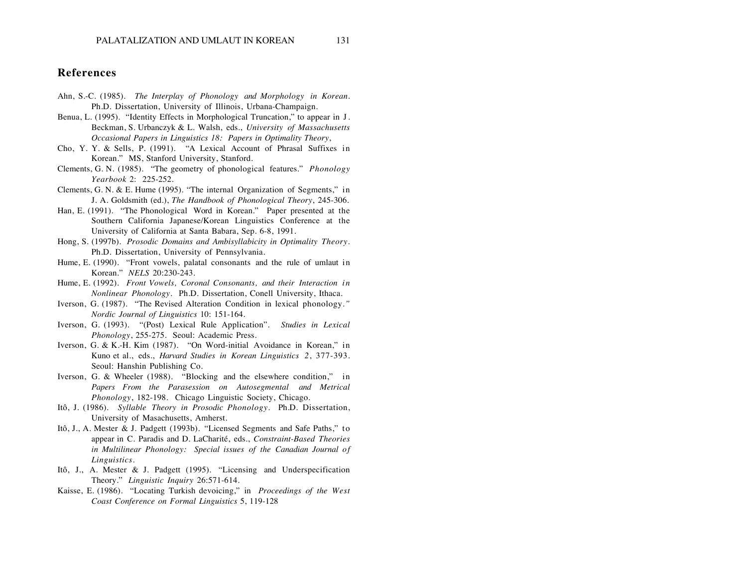#### **References**

- Ahn, S.-C. (1985). *The Interplay of Phonology and Morphology in Korean*. Ph.D. Dissertation, University of Illinois, Urbana-Champaign.
- Benua, L. (1995). "Identity Effects in Morphological Truncation," to appear in J . Beckman, S. Urbanczyk & L. Walsh, eds., *University of Massachusetts Occasional Papers in Linguistics 18: Papers in Optimality Theory*,
- Cho, Y. Y. & Sells, P. (1991). "A Lexical Account of Phrasal Suffixes in Korean." MS, Stanford University, Stanford.
- Clements, G. N. (1985). "The geometry of phonological features." *Phonology Yearbook* 2: 225-252.
- Clements, G. N. & E. Hume (1995). "The internal Organization of Segments," in J. A. Goldsmith (ed.), *The Handbook of Phonological Theory*, 245-306.
- Han, E. (1991). "The Phonological Word in Korean." Paper presented at the Southern California Japanese/Korean Linguistics Conference at the University of California at Santa Babara, Sep. 6-8, 1991.
- Hong, S. (1997b). *Prosodic Domains and Ambisyllabicity in Optimality Theory*. Ph.D. Dissertation, University of Pennsylvania.
- Hume, E. (1990). "Front vowels, palatal consonants and the rule of umlaut in Korean." *NELS* 20:230-243.
- Hume, E. (1992). *Front Vowels, Coronal Consonants, and their Interaction in Nonlinear Phonology*. Ph.D. Dissertation, Conell University, Ithaca.
- Iverson, G. (1987). "The Revised Alteration Condition in lexical phonology*." Nordic Journal of Linguistics* 10: 151-164.
- Iverson, G. (1993). "(Post) Lexical Rule Application". *Studies in Lexical Phonology*, 255-275. Seoul: Academic Press.
- Iverson, G. & K.-H. Kim (1987). "On Word-initial Avoidance in Korean," in Kuno et al., eds., *Harvard Studies in Korean Linguistics 2*, 377-393. Seoul: Hanshin Publishing Co.
- Iverson, G. & Wheeler (1988). "Blocking and the elsewhere condition," in *Papers From the Parasession on Autosegmental and Metrical Phonology*, 182-198. Chicago Linguistic Society, Chicago.
- Itô, J. (1986). *Syllable Theory in Prosodic Phonology*. Ph.D. Dissertation, University of Masachusetts, Amherst.
- Itô, J., A. Mester & J. Padgett (1993b). "Licensed Segments and Safe Paths," to appear in C. Paradis and D. LaCharité, eds., *Constraint-Based Theories in Multilinear Phonology: Special issues of the Canadian Journal of Linguistics*.
- Itô, J., A. Mester & J. Padgett (1995). "Licensing and Underspecification Theory." *Linguistic Inquiry* 26:571-614.
- Kaisse, E. (1986). "Locating Turkish devoicing," in *Proceedings of the West Coast Conference on Formal Linguistics* 5, 119-128